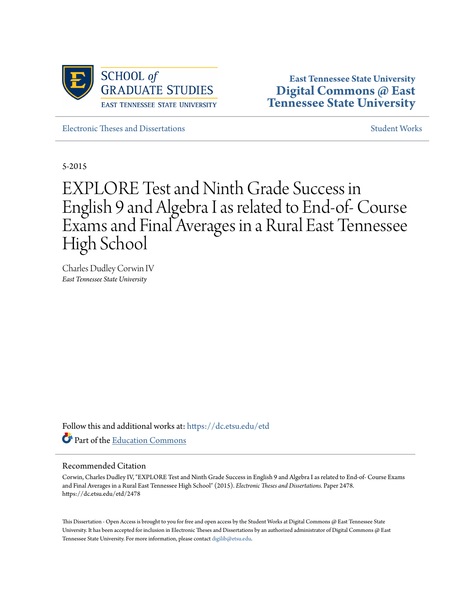

**East Tennessee State University [Digital Commons @ East](https://dc.etsu.edu?utm_source=dc.etsu.edu%2Fetd%2F2478&utm_medium=PDF&utm_campaign=PDFCoverPages) [Tennessee State University](https://dc.etsu.edu?utm_source=dc.etsu.edu%2Fetd%2F2478&utm_medium=PDF&utm_campaign=PDFCoverPages)**

[Electronic Theses and Dissertations](https://dc.etsu.edu/etd?utm_source=dc.etsu.edu%2Fetd%2F2478&utm_medium=PDF&utm_campaign=PDFCoverPages) [Student Works](https://dc.etsu.edu/student-works?utm_source=dc.etsu.edu%2Fetd%2F2478&utm_medium=PDF&utm_campaign=PDFCoverPages) Student Works Student Works

5-2015

# EXPLORE Test and Ninth Grade Success in English 9 and Algebra I as related to End-of- Course Exams and Final Averages in a Rural East Tennessee High School

Charles Dudley Corwin IV *East Tennessee State University*

Follow this and additional works at: [https://dc.etsu.edu/etd](https://dc.etsu.edu/etd?utm_source=dc.etsu.edu%2Fetd%2F2478&utm_medium=PDF&utm_campaign=PDFCoverPages) Part of the [Education Commons](http://network.bepress.com/hgg/discipline/784?utm_source=dc.etsu.edu%2Fetd%2F2478&utm_medium=PDF&utm_campaign=PDFCoverPages)

#### Recommended Citation

Corwin, Charles Dudley IV, "EXPLORE Test and Ninth Grade Success in English 9 and Algebra I as related to End-of- Course Exams and Final Averages in a Rural East Tennessee High School" (2015). *Electronic Theses and Dissertations.* Paper 2478. https://dc.etsu.edu/etd/2478

This Dissertation - Open Access is brought to you for free and open access by the Student Works at Digital Commons @ East Tennessee State University. It has been accepted for inclusion in Electronic Theses and Dissertations by an authorized administrator of Digital Commons @ East Tennessee State University. For more information, please contact [digilib@etsu.edu.](mailto:digilib@etsu.edu)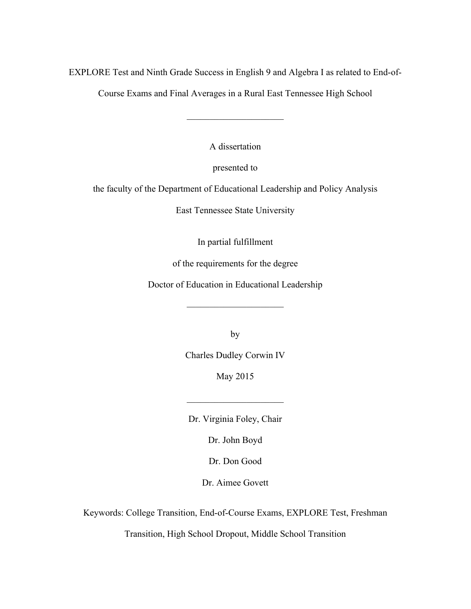EXPLORE Test and Ninth Grade Success in English 9 and Algebra I as related to End-of-

Course Exams and Final Averages in a Rural East Tennessee High School

 $\mathcal{L}_\text{max}$ 

A dissertation

presented to

the faculty of the Department of Educational Leadership and Policy Analysis

East Tennessee State University

In partial fulfillment

of the requirements for the degree

Doctor of Education in Educational Leadership

 $\overline{\phantom{a}}$  , where  $\overline{\phantom{a}}$  , where  $\overline{\phantom{a}}$ 

by

Charles Dudley Corwin IV

May 2015

Dr. Virginia Foley, Chair

 $\mathcal{L}_\text{max}$ 

Dr. John Boyd

Dr. Don Good

Dr. Aimee Govett

Keywords: College Transition, End-of-Course Exams, EXPLORE Test, Freshman

Transition, High School Dropout, Middle School Transition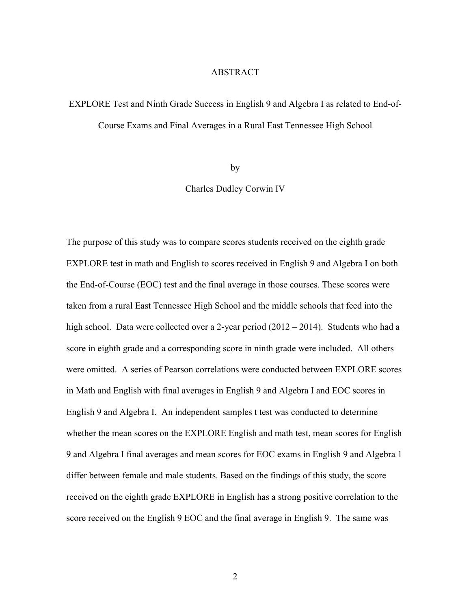#### ABSTRACT

# EXPLORE Test and Ninth Grade Success in English 9 and Algebra I as related to End-of-Course Exams and Final Averages in a Rural East Tennessee High School

by

Charles Dudley Corwin IV

The purpose of this study was to compare scores students received on the eighth grade EXPLORE test in math and English to scores received in English 9 and Algebra I on both the End-of-Course (EOC) test and the final average in those courses. These scores were taken from a rural East Tennessee High School and the middle schools that feed into the high school. Data were collected over a 2-year period (2012 – 2014). Students who had a score in eighth grade and a corresponding score in ninth grade were included. All others were omitted. A series of Pearson correlations were conducted between EXPLORE scores in Math and English with final averages in English 9 and Algebra I and EOC scores in English 9 and Algebra I. An independent samples t test was conducted to determine whether the mean scores on the EXPLORE English and math test, mean scores for English 9 and Algebra I final averages and mean scores for EOC exams in English 9 and Algebra 1 differ between female and male students. Based on the findings of this study, the score received on the eighth grade EXPLORE in English has a strong positive correlation to the score received on the English 9 EOC and the final average in English 9. The same was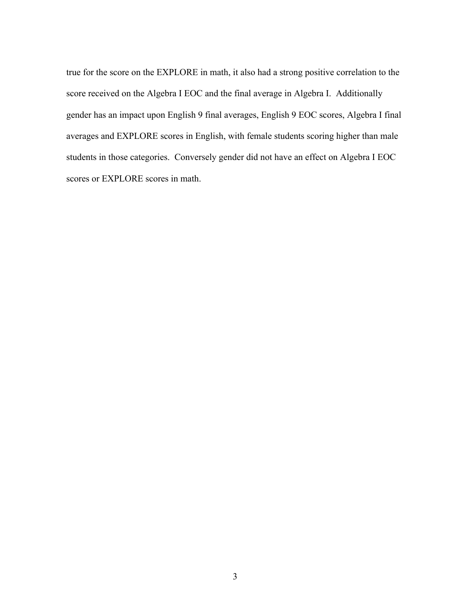true for the score on the EXPLORE in math, it also had a strong positive correlation to the score received on the Algebra I EOC and the final average in Algebra I. Additionally gender has an impact upon English 9 final averages, English 9 EOC scores, Algebra I final averages and EXPLORE scores in English, with female students scoring higher than male students in those categories. Conversely gender did not have an effect on Algebra I EOC scores or EXPLORE scores in math.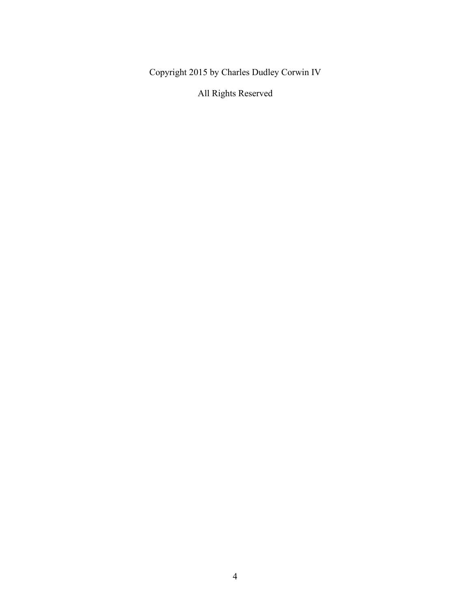Copyright 2015 by Charles Dudley Corwin IV

All Rights Reserved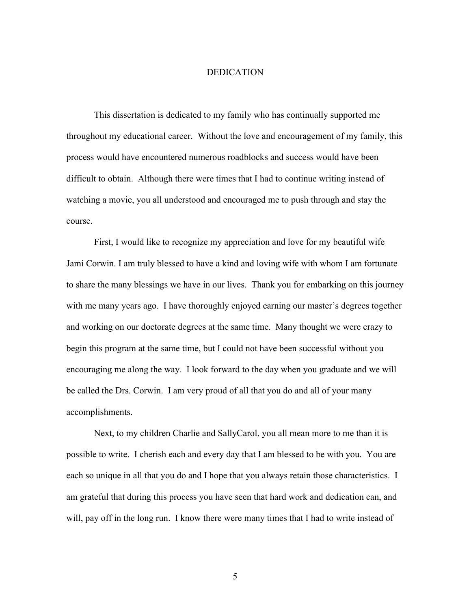#### DEDICATION

This dissertation is dedicated to my family who has continually supported me throughout my educational career. Without the love and encouragement of my family, this process would have encountered numerous roadblocks and success would have been difficult to obtain. Although there were times that I had to continue writing instead of watching a movie, you all understood and encouraged me to push through and stay the course.

First, I would like to recognize my appreciation and love for my beautiful wife Jami Corwin. I am truly blessed to have a kind and loving wife with whom I am fortunate to share the many blessings we have in our lives. Thank you for embarking on this journey with me many years ago. I have thoroughly enjoyed earning our master's degrees together and working on our doctorate degrees at the same time. Many thought we were crazy to begin this program at the same time, but I could not have been successful without you encouraging me along the way. I look forward to the day when you graduate and we will be called the Drs. Corwin. I am very proud of all that you do and all of your many accomplishments.

Next, to my children Charlie and SallyCarol, you all mean more to me than it is possible to write. I cherish each and every day that I am blessed to be with you. You are each so unique in all that you do and I hope that you always retain those characteristics. I am grateful that during this process you have seen that hard work and dedication can, and will, pay off in the long run. I know there were many times that I had to write instead of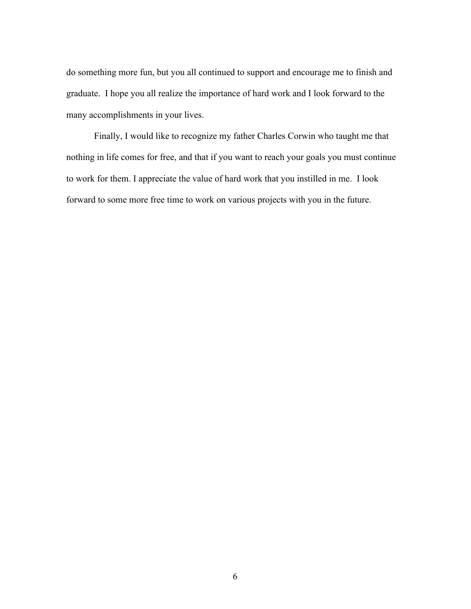do something more fun, but you all continued to support and encourage me to finish and graduate. I hope you all realize the importance of hard work and I look forward to the many accomplishments in your lives.

Finally, I would like to recognize my father Charles Corwin who taught me that nothing in life comes for free, and that if you want to reach your goals you must continue to work for them. I appreciate the value of hard work that you instilled in me. I look forward to some more free time to work on various projects with you in the future.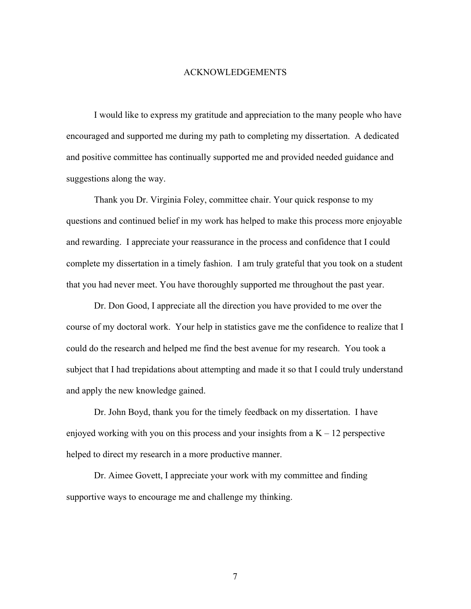#### ACKNOWLEDGEMENTS

I would like to express my gratitude and appreciation to the many people who have encouraged and supported me during my path to completing my dissertation. A dedicated and positive committee has continually supported me and provided needed guidance and suggestions along the way.

Thank you Dr. Virginia Foley, committee chair. Your quick response to my questions and continued belief in my work has helped to make this process more enjoyable and rewarding. I appreciate your reassurance in the process and confidence that I could complete my dissertation in a timely fashion. I am truly grateful that you took on a student that you had never meet. You have thoroughly supported me throughout the past year.

Dr. Don Good, I appreciate all the direction you have provided to me over the course of my doctoral work. Your help in statistics gave me the confidence to realize that I could do the research and helped me find the best avenue for my research. You took a subject that I had trepidations about attempting and made it so that I could truly understand and apply the new knowledge gained.

Dr. John Boyd, thank you for the timely feedback on my dissertation. I have enjoyed working with you on this process and your insights from a  $K - 12$  perspective helped to direct my research in a more productive manner.

Dr. Aimee Govett, I appreciate your work with my committee and finding supportive ways to encourage me and challenge my thinking.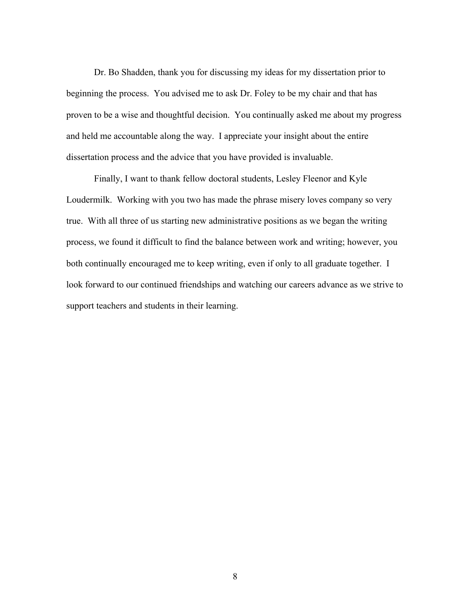Dr. Bo Shadden, thank you for discussing my ideas for my dissertation prior to beginning the process. You advised me to ask Dr. Foley to be my chair and that has proven to be a wise and thoughtful decision. You continually asked me about my progress and held me accountable along the way. I appreciate your insight about the entire dissertation process and the advice that you have provided is invaluable.

Finally, I want to thank fellow doctoral students, Lesley Fleenor and Kyle Loudermilk. Working with you two has made the phrase misery loves company so very true. With all three of us starting new administrative positions as we began the writing process, we found it difficult to find the balance between work and writing; however, you both continually encouraged me to keep writing, even if only to all graduate together. I look forward to our continued friendships and watching our careers advance as we strive to support teachers and students in their learning.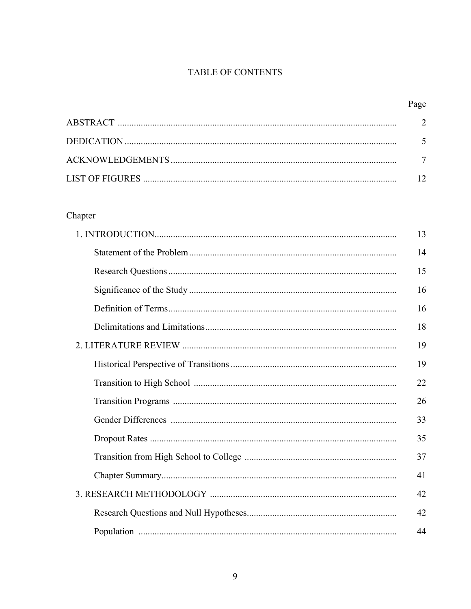## TABLE OF CONTENTS

# Chapter

|  | 14 |
|--|----|
|  | 15 |
|  | 16 |
|  | 16 |
|  | 18 |
|  | 19 |
|  | 19 |
|  | 22 |
|  | 26 |
|  | 33 |
|  | 35 |
|  | 37 |
|  | 41 |
|  | 42 |
|  | 42 |
|  | 44 |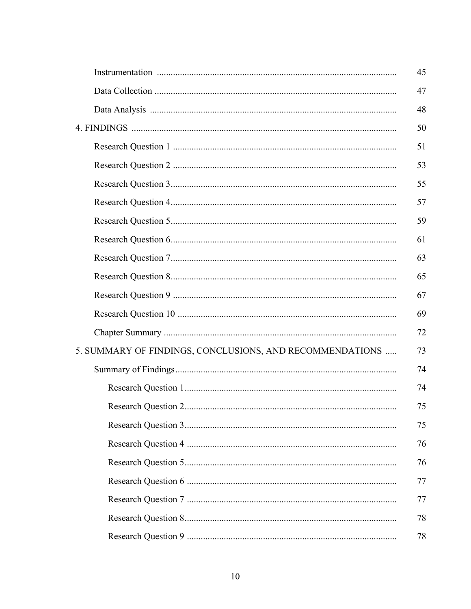|                                                          | 45 |
|----------------------------------------------------------|----|
|                                                          | 47 |
|                                                          | 48 |
|                                                          | 50 |
|                                                          | 51 |
|                                                          | 53 |
|                                                          | 55 |
|                                                          | 57 |
|                                                          | 59 |
|                                                          | 61 |
|                                                          | 63 |
|                                                          | 65 |
|                                                          | 67 |
|                                                          |    |
|                                                          | 69 |
|                                                          | 72 |
| 5. SUMMARY OF FINDINGS, CONCLUSIONS, AND RECOMMENDATIONS | 73 |
|                                                          | 74 |
|                                                          | 74 |
|                                                          | 75 |
|                                                          | 75 |
|                                                          | 76 |
|                                                          | 76 |
|                                                          | 77 |
|                                                          | 77 |
|                                                          | 78 |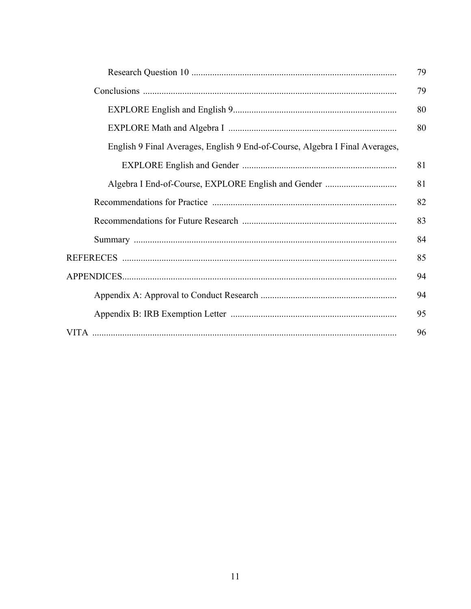|                                                                              | 79 |
|------------------------------------------------------------------------------|----|
|                                                                              | 79 |
|                                                                              | 80 |
|                                                                              | 80 |
| English 9 Final Averages, English 9 End-of-Course, Algebra I Final Averages, |    |
|                                                                              | 81 |
|                                                                              | 81 |
|                                                                              | 82 |
|                                                                              | 83 |
|                                                                              | 84 |
|                                                                              | 85 |
|                                                                              | 94 |
|                                                                              | 94 |
|                                                                              | 95 |
|                                                                              | 96 |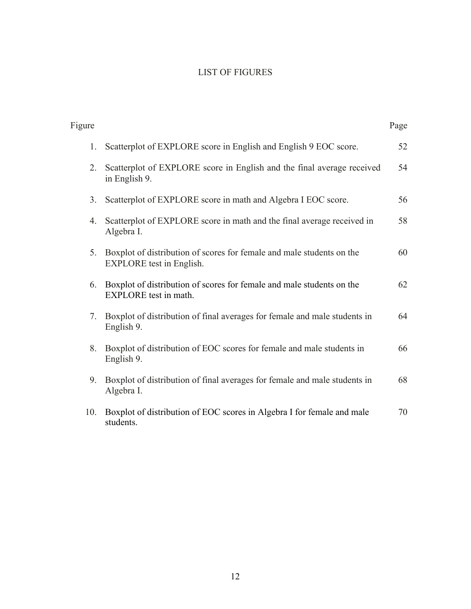### LIST OF FIGURES

| Figure |                                                                                                          | Page |
|--------|----------------------------------------------------------------------------------------------------------|------|
| 1.     | Scatterplot of EXPLORE score in English and English 9 EOC score.                                         | 52   |
| 2.     | Scatterplot of EXPLORE score in English and the final average received<br>in English 9.                  | 54   |
| 3.     | Scatterplot of EXPLORE score in math and Algebra I EOC score.                                            | 56   |
| 4.     | Scatterplot of EXPLORE score in math and the final average received in<br>Algebra I.                     | 58   |
| 5.     | Boxplot of distribution of scores for female and male students on the<br><b>EXPLORE</b> test in English. | 60   |
| 6.     | Boxplot of distribution of scores for female and male students on the<br>EXPLORE test in math.           | 62   |
| 7.     | Boxplot of distribution of final averages for female and male students in<br>English 9.                  | 64   |
| 8.     | Boxplot of distribution of EOC scores for female and male students in<br>English 9.                      | 66   |
| 9.     | Boxplot of distribution of final averages for female and male students in<br>Algebra I.                  | 68   |
| 10.    | Boxplot of distribution of EOC scores in Algebra I for female and male<br>students.                      | 70   |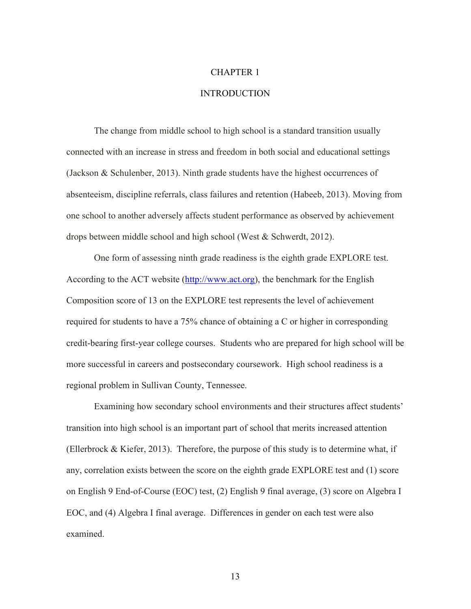#### CHAPTER 1

#### **INTRODUCTION**

The change from middle school to high school is a standard transition usually connected with an increase in stress and freedom in both social and educational settings (Jackson & Schulenber, 2013). Ninth grade students have the highest occurrences of absenteeism, discipline referrals, class failures and retention (Habeeb, 2013). Moving from one school to another adversely affects student performance as observed by achievement drops between middle school and high school (West & Schwerdt, 2012).

One form of assessing ninth grade readiness is the eighth grade EXPLORE test. According to the ACT website (http://www.act.org), the benchmark for the English Composition score of 13 on the EXPLORE test represents the level of achievement required for students to have a 75% chance of obtaining a C or higher in corresponding credit-bearing first-year college courses. Students who are prepared for high school will be more successful in careers and postsecondary coursework. High school readiness is a regional problem in Sullivan County, Tennessee.

Examining how secondary school environments and their structures affect students' transition into high school is an important part of school that merits increased attention (Ellerbrock & Kiefer, 2013). Therefore, the purpose of this study is to determine what, if any, correlation exists between the score on the eighth grade EXPLORE test and (1) score on English 9 End-of-Course (EOC) test, (2) English 9 final average, (3) score on Algebra I EOC, and (4) Algebra I final average. Differences in gender on each test were also examined.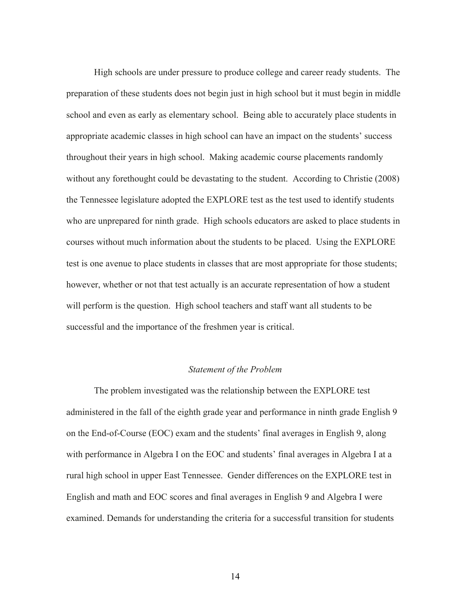High schools are under pressure to produce college and career ready students. The preparation of these students does not begin just in high school but it must begin in middle school and even as early as elementary school. Being able to accurately place students in appropriate academic classes in high school can have an impact on the students' success throughout their years in high school. Making academic course placements randomly without any forethought could be devastating to the student. According to Christie (2008) the Tennessee legislature adopted the EXPLORE test as the test used to identify students who are unprepared for ninth grade. High schools educators are asked to place students in courses without much information about the students to be placed. Using the EXPLORE test is one avenue to place students in classes that are most appropriate for those students; however, whether or not that test actually is an accurate representation of how a student will perform is the question. High school teachers and staff want all students to be successful and the importance of the freshmen year is critical.

#### *Statement of the Problem*

The problem investigated was the relationship between the EXPLORE test administered in the fall of the eighth grade year and performance in ninth grade English 9 on the End-of-Course (EOC) exam and the students' final averages in English 9, along with performance in Algebra I on the EOC and students' final averages in Algebra I at a rural high school in upper East Tennessee. Gender differences on the EXPLORE test in English and math and EOC scores and final averages in English 9 and Algebra I were examined. Demands for understanding the criteria for a successful transition for students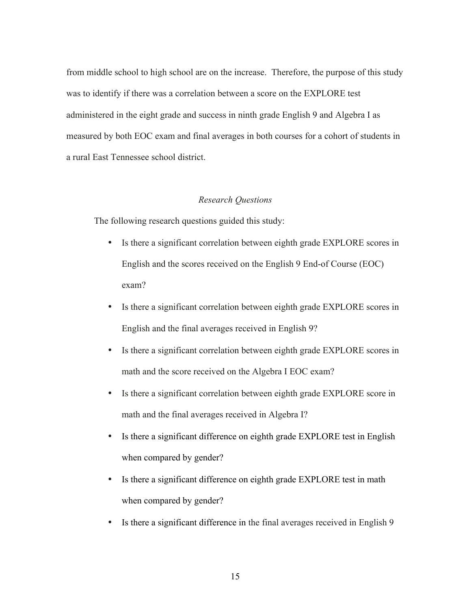from middle school to high school are on the increase. Therefore, the purpose of this study was to identify if there was a correlation between a score on the EXPLORE test administered in the eight grade and success in ninth grade English 9 and Algebra I as measured by both EOC exam and final averages in both courses for a cohort of students in a rural East Tennessee school district.

#### *Research Questions*

The following research questions guided this study:

- Is there a significant correlation between eighth grade EXPLORE scores in English and the scores received on the English 9 End-of Course (EOC) exam?
- Is there a significant correlation between eighth grade EXPLORE scores in English and the final averages received in English 9?
- Is there a significant correlation between eighth grade EXPLORE scores in math and the score received on the Algebra I EOC exam?
- Is there a significant correlation between eighth grade EXPLORE score in math and the final averages received in Algebra I?
- Is there a significant difference on eighth grade EXPLORE test in English when compared by gender?
- Is there a significant difference on eighth grade EXPLORE test in math when compared by gender?
- Is there a significant difference in the final averages received in English 9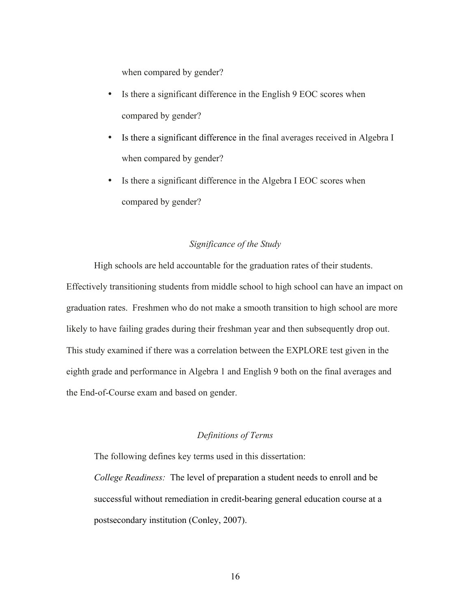when compared by gender?

- Is there a significant difference in the English 9 EOC scores when compared by gender?
- Is there a significant difference in the final averages received in Algebra I when compared by gender?
- Is there a significant difference in the Algebra I EOC scores when compared by gender?

#### *Significance of the Study*

High schools are held accountable for the graduation rates of their students. Effectively transitioning students from middle school to high school can have an impact on graduation rates. Freshmen who do not make a smooth transition to high school are more likely to have failing grades during their freshman year and then subsequently drop out. This study examined if there was a correlation between the EXPLORE test given in the eighth grade and performance in Algebra 1 and English 9 both on the final averages and the End-of-Course exam and based on gender.

#### *Definitions of Terms*

The following defines key terms used in this dissertation: *College Readiness:* The level of preparation a student needs to enroll and be successful without remediation in credit-bearing general education course at a postsecondary institution (Conley, 2007).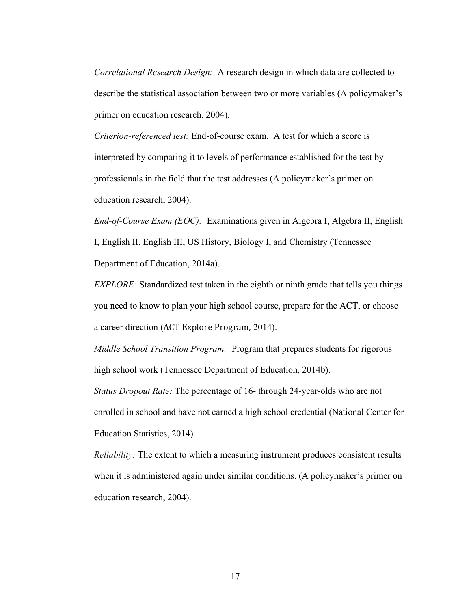*Correlational Research Design:* A research design in which data are collected to describe the statistical association between two or more variables (A policymaker's primer on education research, 2004).

*Criterion-referenced test:* End-of-course exam. A test for which a score is interpreted by comparing it to levels of performance established for the test by professionals in the field that the test addresses (A policymaker's primer on education research, 2004).

*End-of-Course Exam (EOC):* Examinations given in Algebra I, Algebra II, English I, English II, English III, US History, Biology I, and Chemistry (Tennessee Department of Education, 2014a).

*EXPLORE:* Standardized test taken in the eighth or ninth grade that tells you things you need to know to plan your high school course, prepare for the ACT, or choose a career direction (ACT Explore Program, 2014).

*Middle School Transition Program:* Program that prepares students for rigorous high school work (Tennessee Department of Education, 2014b).

*Status Dropout Rate:* The percentage of 16- through 24-year-olds who are not enrolled in school and have not earned a high school credential (National Center for Education Statistics, 2014).

*Reliability:* The extent to which a measuring instrument produces consistent results when it is administered again under similar conditions. (A policymaker's primer on education research, 2004).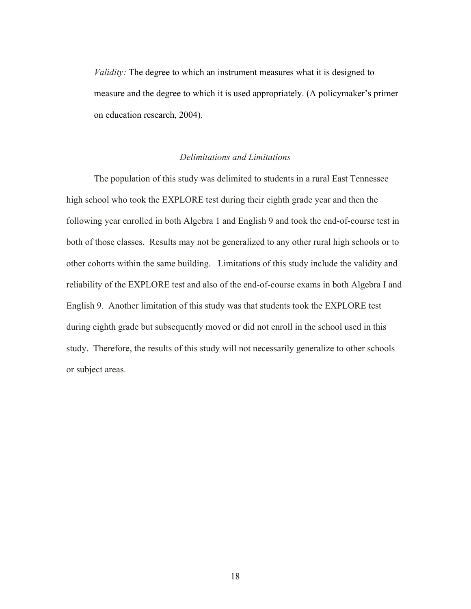*Validity:* The degree to which an instrument measures what it is designed to measure and the degree to which it is used appropriately. (A policymaker's primer on education research, 2004).

#### *Delimitations and Limitations*

The population of this study was delimited to students in a rural East Tennessee high school who took the EXPLORE test during their eighth grade year and then the following year enrolled in both Algebra 1 and English 9 and took the end-of-course test in both of those classes. Results may not be generalized to any other rural high schools or to other cohorts within the same building. Limitations of this study include the validity and reliability of the EXPLORE test and also of the end-of-course exams in both Algebra I and English 9. Another limitation of this study was that students took the EXPLORE test during eighth grade but subsequently moved or did not enroll in the school used in this study. Therefore, the results of this study will not necessarily generalize to other schools or subject areas.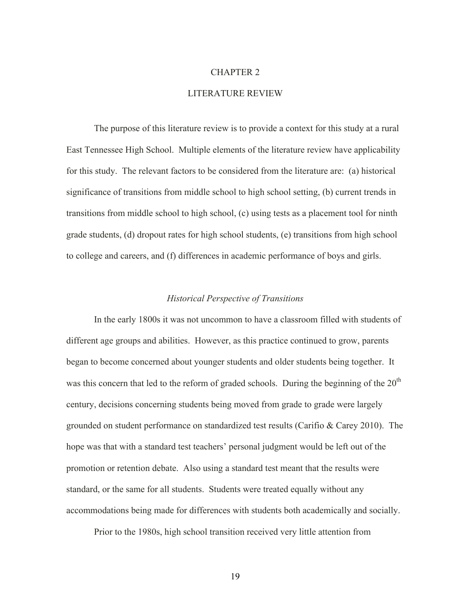#### CHAPTER 2

#### LITERATURE REVIEW

The purpose of this literature review is to provide a context for this study at a rural East Tennessee High School. Multiple elements of the literature review have applicability for this study. The relevant factors to be considered from the literature are: (a) historical significance of transitions from middle school to high school setting, (b) current trends in transitions from middle school to high school, (c) using tests as a placement tool for ninth grade students, (d) dropout rates for high school students, (e) transitions from high school to college and careers, and (f) differences in academic performance of boys and girls.

#### *Historical Perspective of Transitions*

In the early 1800s it was not uncommon to have a classroom filled with students of different age groups and abilities. However, as this practice continued to grow, parents began to become concerned about younger students and older students being together. It was this concern that led to the reform of graded schools. During the beginning of the  $20<sup>th</sup>$ century, decisions concerning students being moved from grade to grade were largely grounded on student performance on standardized test results (Carifio & Carey 2010). The hope was that with a standard test teachers' personal judgment would be left out of the promotion or retention debate. Also using a standard test meant that the results were standard, or the same for all students. Students were treated equally without any accommodations being made for differences with students both academically and socially.

Prior to the 1980s, high school transition received very little attention from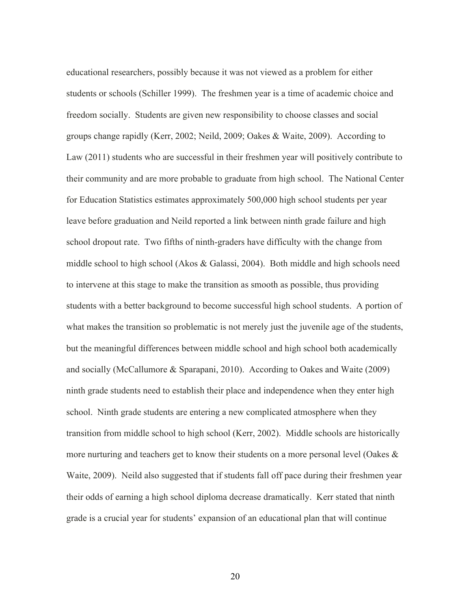educational researchers, possibly because it was not viewed as a problem for either students or schools (Schiller 1999). The freshmen year is a time of academic choice and freedom socially. Students are given new responsibility to choose classes and social groups change rapidly (Kerr, 2002; Neild, 2009; Oakes & Waite, 2009). According to Law (2011) students who are successful in their freshmen year will positively contribute to their community and are more probable to graduate from high school. The National Center for Education Statistics estimates approximately 500,000 high school students per year leave before graduation and Neild reported a link between ninth grade failure and high school dropout rate. Two fifths of ninth-graders have difficulty with the change from middle school to high school (Akos  $\&$  Galassi, 2004). Both middle and high schools need to intervene at this stage to make the transition as smooth as possible, thus providing students with a better background to become successful high school students. A portion of what makes the transition so problematic is not merely just the juvenile age of the students, but the meaningful differences between middle school and high school both academically and socially (McCallumore & Sparapani, 2010). According to Oakes and Waite (2009) ninth grade students need to establish their place and independence when they enter high school. Ninth grade students are entering a new complicated atmosphere when they transition from middle school to high school (Kerr, 2002). Middle schools are historically more nurturing and teachers get to know their students on a more personal level (Oakes & Waite, 2009). Neild also suggested that if students fall off pace during their freshmen year their odds of earning a high school diploma decrease dramatically. Kerr stated that ninth grade is a crucial year for students' expansion of an educational plan that will continue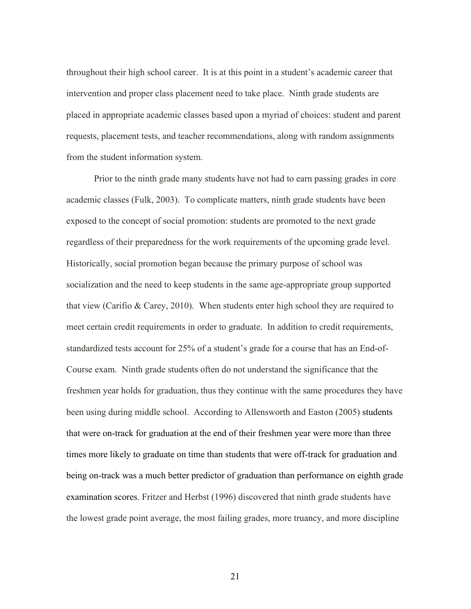throughout their high school career. It is at this point in a student's academic career that intervention and proper class placement need to take place. Ninth grade students are placed in appropriate academic classes based upon a myriad of choices: student and parent requests, placement tests, and teacher recommendations, along with random assignments from the student information system.

Prior to the ninth grade many students have not had to earn passing grades in core academic classes (Fulk, 2003). To complicate matters, ninth grade students have been exposed to the concept of social promotion: students are promoted to the next grade regardless of their preparedness for the work requirements of the upcoming grade level. Historically, social promotion began because the primary purpose of school was socialization and the need to keep students in the same age-appropriate group supported that view (Carifio & Carey, 2010). When students enter high school they are required to meet certain credit requirements in order to graduate. In addition to credit requirements, standardized tests account for 25% of a student's grade for a course that has an End-of-Course exam. Ninth grade students often do not understand the significance that the freshmen year holds for graduation, thus they continue with the same procedures they have been using during middle school. According to Allensworth and Easton (2005) students that were on-track for graduation at the end of their freshmen year were more than three times more likely to graduate on time than students that were off-track for graduation and being on-track was a much better predictor of graduation than performance on eighth grade examination scores. Fritzer and Herbst (1996) discovered that ninth grade students have the lowest grade point average, the most failing grades, more truancy, and more discipline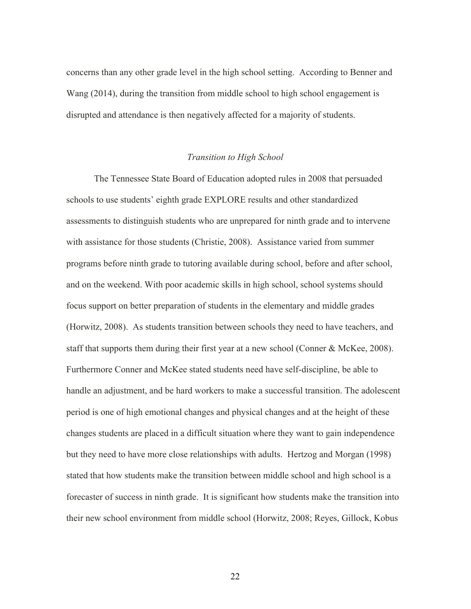concerns than any other grade level in the high school setting. According to Benner and Wang (2014), during the transition from middle school to high school engagement is disrupted and attendance is then negatively affected for a majority of students.

#### *Transition to High School*

The Tennessee State Board of Education adopted rules in 2008 that persuaded schools to use students' eighth grade EXPLORE results and other standardized assessments to distinguish students who are unprepared for ninth grade and to intervene with assistance for those students (Christie, 2008). Assistance varied from summer programs before ninth grade to tutoring available during school, before and after school, and on the weekend. With poor academic skills in high school, school systems should focus support on better preparation of students in the elementary and middle grades (Horwitz, 2008). As students transition between schools they need to have teachers, and staff that supports them during their first year at a new school (Conner & McKee, 2008). Furthermore Conner and McKee stated students need have self-discipline, be able to handle an adjustment, and be hard workers to make a successful transition. The adolescent period is one of high emotional changes and physical changes and at the height of these changes students are placed in a difficult situation where they want to gain independence but they need to have more close relationships with adults. Hertzog and Morgan (1998) stated that how students make the transition between middle school and high school is a forecaster of success in ninth grade. It is significant how students make the transition into their new school environment from middle school (Horwitz, 2008; Reyes, Gillock, Kobus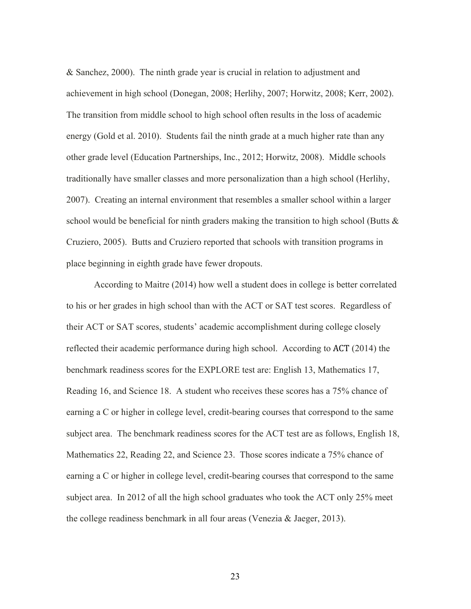& Sanchez, 2000). The ninth grade year is crucial in relation to adjustment and achievement in high school (Donegan, 2008; Herlihy, 2007; Horwitz, 2008; Kerr, 2002). The transition from middle school to high school often results in the loss of academic energy (Gold et al. 2010). Students fail the ninth grade at a much higher rate than any other grade level (Education Partnerships, Inc., 2012; Horwitz, 2008). Middle schools traditionally have smaller classes and more personalization than a high school (Herlihy, 2007). Creating an internal environment that resembles a smaller school within a larger school would be beneficial for ninth graders making the transition to high school (Butts  $\&$ Cruziero, 2005). Butts and Cruziero reported that schools with transition programs in place beginning in eighth grade have fewer dropouts.

According to Maitre (2014) how well a student does in college is better correlated to his or her grades in high school than with the ACT or SAT test scores. Regardless of their ACT or SAT scores, students' academic accomplishment during college closely reflected their academic performance during high school. According to ACT (2014) the benchmark readiness scores for the EXPLORE test are: English 13, Mathematics 17, Reading 16, and Science 18. A student who receives these scores has a 75% chance of earning a C or higher in college level, credit-bearing courses that correspond to the same subject area. The benchmark readiness scores for the ACT test are as follows, English 18, Mathematics 22, Reading 22, and Science 23. Those scores indicate a 75% chance of earning a C or higher in college level, credit-bearing courses that correspond to the same subject area. In 2012 of all the high school graduates who took the ACT only 25% meet the college readiness benchmark in all four areas (Venezia & Jaeger, 2013).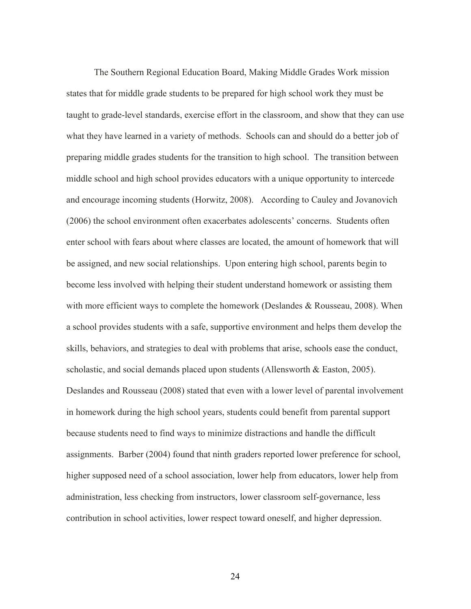The Southern Regional Education Board, Making Middle Grades Work mission states that for middle grade students to be prepared for high school work they must be taught to grade-level standards, exercise effort in the classroom, and show that they can use what they have learned in a variety of methods. Schools can and should do a better job of preparing middle grades students for the transition to high school. The transition between middle school and high school provides educators with a unique opportunity to intercede and encourage incoming students (Horwitz, 2008). According to Cauley and Jovanovich (2006) the school environment often exacerbates adolescents' concerns. Students often enter school with fears about where classes are located, the amount of homework that will be assigned, and new social relationships. Upon entering high school, parents begin to become less involved with helping their student understand homework or assisting them with more efficient ways to complete the homework (Deslandes & Rousseau, 2008). When a school provides students with a safe, supportive environment and helps them develop the skills, behaviors, and strategies to deal with problems that arise, schools ease the conduct, scholastic, and social demands placed upon students (Allensworth & Easton, 2005). Deslandes and Rousseau (2008) stated that even with a lower level of parental involvement in homework during the high school years, students could benefit from parental support because students need to find ways to minimize distractions and handle the difficult assignments. Barber (2004) found that ninth graders reported lower preference for school, higher supposed need of a school association, lower help from educators, lower help from administration, less checking from instructors, lower classroom self-governance, less contribution in school activities, lower respect toward oneself, and higher depression.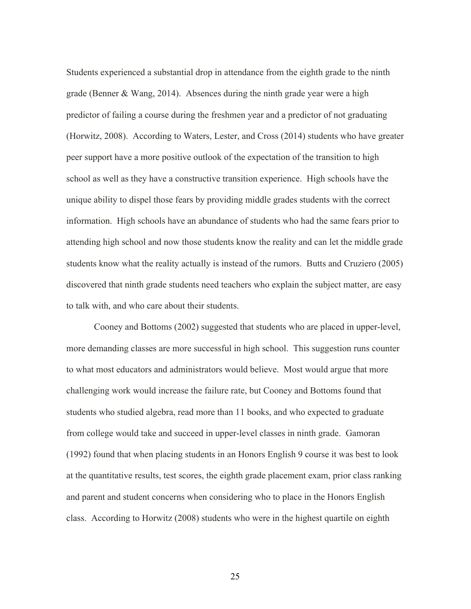Students experienced a substantial drop in attendance from the eighth grade to the ninth grade (Benner & Wang, 2014). Absences during the ninth grade year were a high predictor of failing a course during the freshmen year and a predictor of not graduating (Horwitz, 2008). According to Waters, Lester, and Cross (2014) students who have greater peer support have a more positive outlook of the expectation of the transition to high school as well as they have a constructive transition experience. High schools have the unique ability to dispel those fears by providing middle grades students with the correct information. High schools have an abundance of students who had the same fears prior to attending high school and now those students know the reality and can let the middle grade students know what the reality actually is instead of the rumors. Butts and Cruziero (2005) discovered that ninth grade students need teachers who explain the subject matter, are easy to talk with, and who care about their students.

Cooney and Bottoms (2002) suggested that students who are placed in upper-level, more demanding classes are more successful in high school. This suggestion runs counter to what most educators and administrators would believe. Most would argue that more challenging work would increase the failure rate, but Cooney and Bottoms found that students who studied algebra, read more than 11 books, and who expected to graduate from college would take and succeed in upper-level classes in ninth grade. Gamoran (1992) found that when placing students in an Honors English 9 course it was best to look at the quantitative results, test scores, the eighth grade placement exam, prior class ranking and parent and student concerns when considering who to place in the Honors English class. According to Horwitz (2008) students who were in the highest quartile on eighth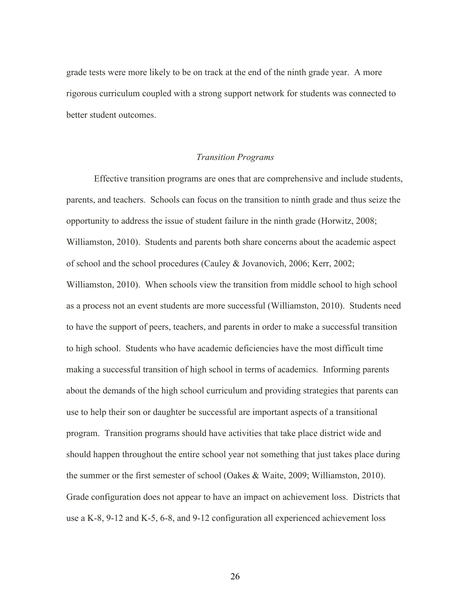grade tests were more likely to be on track at the end of the ninth grade year. A more rigorous curriculum coupled with a strong support network for students was connected to better student outcomes.

#### *Transition Programs*

Effective transition programs are ones that are comprehensive and include students, parents, and teachers. Schools can focus on the transition to ninth grade and thus seize the opportunity to address the issue of student failure in the ninth grade (Horwitz, 2008; Williamston, 2010). Students and parents both share concerns about the academic aspect of school and the school procedures (Cauley & Jovanovich, 2006; Kerr, 2002; Williamston, 2010). When schools view the transition from middle school to high school as a process not an event students are more successful (Williamston, 2010). Students need to have the support of peers, teachers, and parents in order to make a successful transition to high school. Students who have academic deficiencies have the most difficult time making a successful transition of high school in terms of academics. Informing parents about the demands of the high school curriculum and providing strategies that parents can use to help their son or daughter be successful are important aspects of a transitional program. Transition programs should have activities that take place district wide and should happen throughout the entire school year not something that just takes place during the summer or the first semester of school (Oakes & Waite, 2009; Williamston, 2010). Grade configuration does not appear to have an impact on achievement loss. Districts that use a K-8, 9-12 and K-5, 6-8, and 9-12 configuration all experienced achievement loss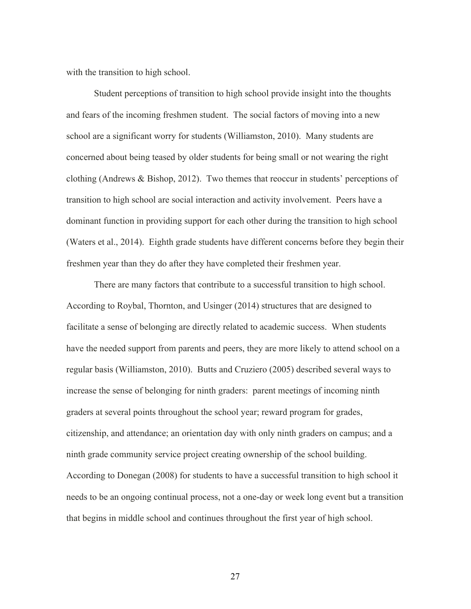with the transition to high school.

Student perceptions of transition to high school provide insight into the thoughts and fears of the incoming freshmen student. The social factors of moving into a new school are a significant worry for students (Williamston, 2010). Many students are concerned about being teased by older students for being small or not wearing the right clothing (Andrews & Bishop, 2012). Two themes that reoccur in students' perceptions of transition to high school are social interaction and activity involvement. Peers have a dominant function in providing support for each other during the transition to high school (Waters et al., 2014). Eighth grade students have different concerns before they begin their freshmen year than they do after they have completed their freshmen year.

There are many factors that contribute to a successful transition to high school. According to Roybal, Thornton, and Usinger (2014) structures that are designed to facilitate a sense of belonging are directly related to academic success. When students have the needed support from parents and peers, they are more likely to attend school on a regular basis (Williamston, 2010). Butts and Cruziero (2005) described several ways to increase the sense of belonging for ninth graders: parent meetings of incoming ninth graders at several points throughout the school year; reward program for grades, citizenship, and attendance; an orientation day with only ninth graders on campus; and a ninth grade community service project creating ownership of the school building. According to Donegan (2008) for students to have a successful transition to high school it needs to be an ongoing continual process, not a one-day or week long event but a transition that begins in middle school and continues throughout the first year of high school.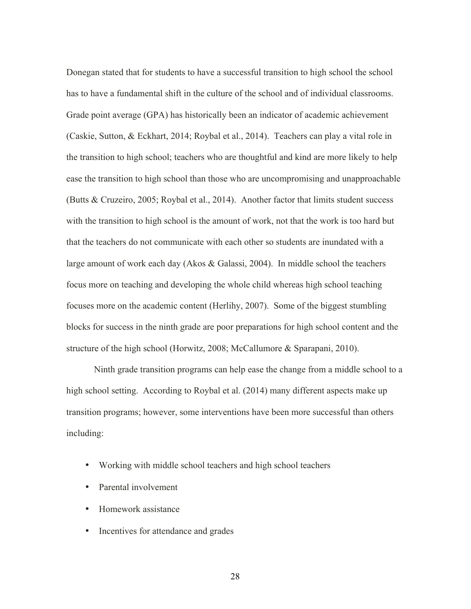Donegan stated that for students to have a successful transition to high school the school has to have a fundamental shift in the culture of the school and of individual classrooms. Grade point average (GPA) has historically been an indicator of academic achievement (Caskie, Sutton, & Eckhart, 2014; Roybal et al., 2014). Teachers can play a vital role in the transition to high school; teachers who are thoughtful and kind are more likely to help ease the transition to high school than those who are uncompromising and unapproachable (Butts & Cruzeiro, 2005; Roybal et al., 2014). Another factor that limits student success with the transition to high school is the amount of work, not that the work is too hard but that the teachers do not communicate with each other so students are inundated with a large amount of work each day (Akos & Galassi, 2004). In middle school the teachers focus more on teaching and developing the whole child whereas high school teaching focuses more on the academic content (Herlihy, 2007). Some of the biggest stumbling blocks for success in the ninth grade are poor preparations for high school content and the structure of the high school (Horwitz, 2008; McCallumore & Sparapani, 2010).

Ninth grade transition programs can help ease the change from a middle school to a high school setting. According to Roybal et al. (2014) many different aspects make up transition programs; however, some interventions have been more successful than others including:

- Working with middle school teachers and high school teachers
- Parental involvement
- Homework assistance
- Incentives for attendance and grades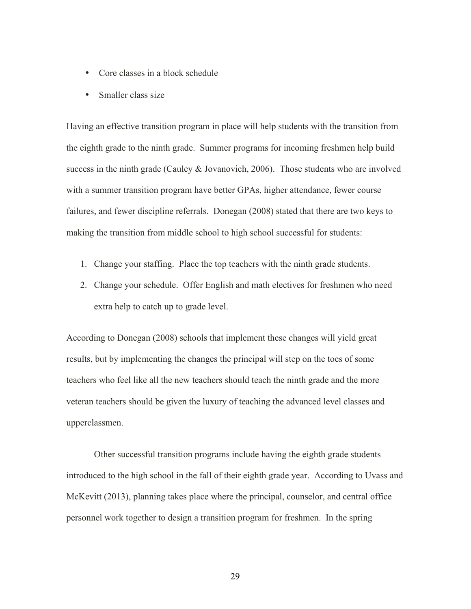- Core classes in a block schedule
- Smaller class size

Having an effective transition program in place will help students with the transition from the eighth grade to the ninth grade. Summer programs for incoming freshmen help build success in the ninth grade (Cauley & Jovanovich, 2006). Those students who are involved with a summer transition program have better GPAs, higher attendance, fewer course failures, and fewer discipline referrals. Donegan (2008) stated that there are two keys to making the transition from middle school to high school successful for students:

- 1. Change your staffing. Place the top teachers with the ninth grade students.
- 2. Change your schedule. Offer English and math electives for freshmen who need extra help to catch up to grade level.

According to Donegan (2008) schools that implement these changes will yield great results, but by implementing the changes the principal will step on the toes of some teachers who feel like all the new teachers should teach the ninth grade and the more veteran teachers should be given the luxury of teaching the advanced level classes and upperclassmen.

Other successful transition programs include having the eighth grade students introduced to the high school in the fall of their eighth grade year. According to Uvass and McKevitt (2013), planning takes place where the principal, counselor, and central office personnel work together to design a transition program for freshmen. In the spring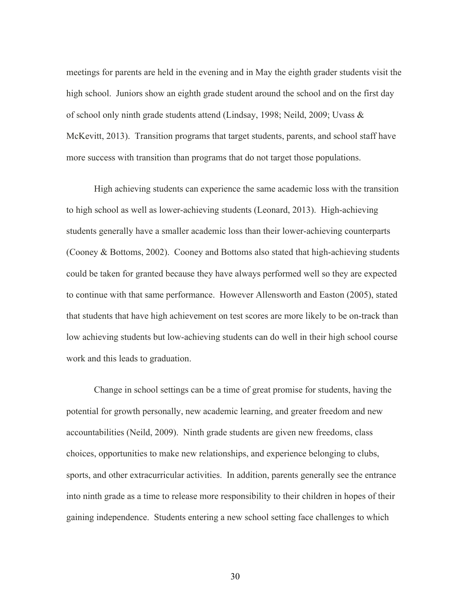meetings for parents are held in the evening and in May the eighth grader students visit the high school. Juniors show an eighth grade student around the school and on the first day of school only ninth grade students attend (Lindsay, 1998; Neild, 2009; Uvass & McKevitt, 2013). Transition programs that target students, parents, and school staff have more success with transition than programs that do not target those populations.

High achieving students can experience the same academic loss with the transition to high school as well as lower-achieving students (Leonard, 2013). High-achieving students generally have a smaller academic loss than their lower-achieving counterparts (Cooney & Bottoms, 2002). Cooney and Bottoms also stated that high-achieving students could be taken for granted because they have always performed well so they are expected to continue with that same performance. However Allensworth and Easton (2005), stated that students that have high achievement on test scores are more likely to be on-track than low achieving students but low-achieving students can do well in their high school course work and this leads to graduation.

Change in school settings can be a time of great promise for students, having the potential for growth personally, new academic learning, and greater freedom and new accountabilities (Neild, 2009). Ninth grade students are given new freedoms, class choices, opportunities to make new relationships, and experience belonging to clubs, sports, and other extracurricular activities. In addition, parents generally see the entrance into ninth grade as a time to release more responsibility to their children in hopes of their gaining independence. Students entering a new school setting face challenges to which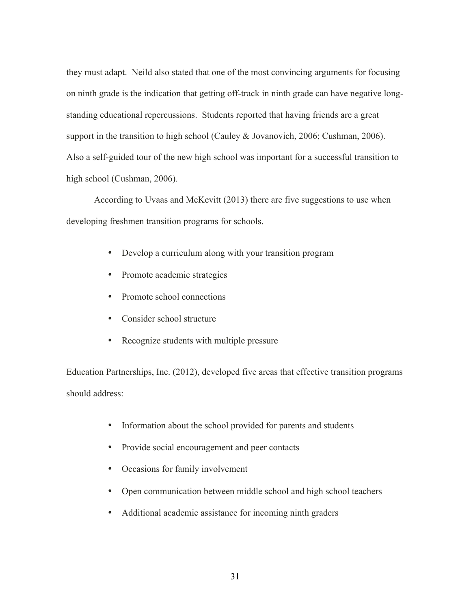they must adapt. Neild also stated that one of the most convincing arguments for focusing on ninth grade is the indication that getting off-track in ninth grade can have negative longstanding educational repercussions. Students reported that having friends are a great support in the transition to high school (Cauley & Jovanovich, 2006; Cushman, 2006). Also a self-guided tour of the new high school was important for a successful transition to high school (Cushman, 2006).

According to Uvaas and McKevitt (2013) there are five suggestions to use when developing freshmen transition programs for schools.

- Develop a curriculum along with your transition program
- Promote academic strategies
- Promote school connections
- Consider school structure
- Recognize students with multiple pressure

Education Partnerships, Inc. (2012), developed five areas that effective transition programs should address:

- Information about the school provided for parents and students
- Provide social encouragement and peer contacts
- Occasions for family involvement
- Open communication between middle school and high school teachers
- Additional academic assistance for incoming ninth graders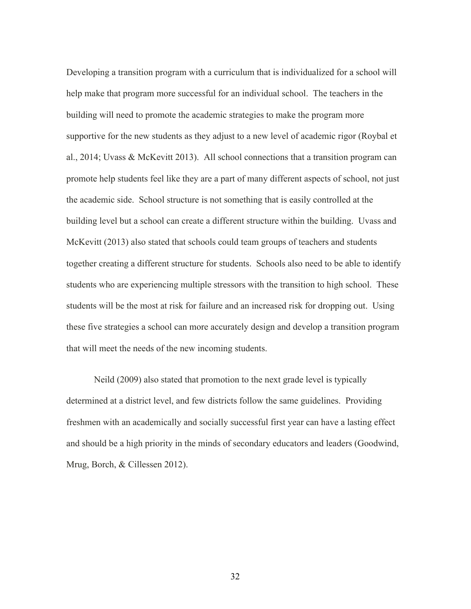Developing a transition program with a curriculum that is individualized for a school will help make that program more successful for an individual school. The teachers in the building will need to promote the academic strategies to make the program more supportive for the new students as they adjust to a new level of academic rigor (Roybal et al., 2014; Uvass & McKevitt 2013). All school connections that a transition program can promote help students feel like they are a part of many different aspects of school, not just the academic side. School structure is not something that is easily controlled at the building level but a school can create a different structure within the building. Uvass and McKevitt (2013) also stated that schools could team groups of teachers and students together creating a different structure for students. Schools also need to be able to identify students who are experiencing multiple stressors with the transition to high school. These students will be the most at risk for failure and an increased risk for dropping out. Using these five strategies a school can more accurately design and develop a transition program that will meet the needs of the new incoming students.

Neild (2009) also stated that promotion to the next grade level is typically determined at a district level, and few districts follow the same guidelines. Providing freshmen with an academically and socially successful first year can have a lasting effect and should be a high priority in the minds of secondary educators and leaders (Goodwind, Mrug, Borch, & Cillessen 2012).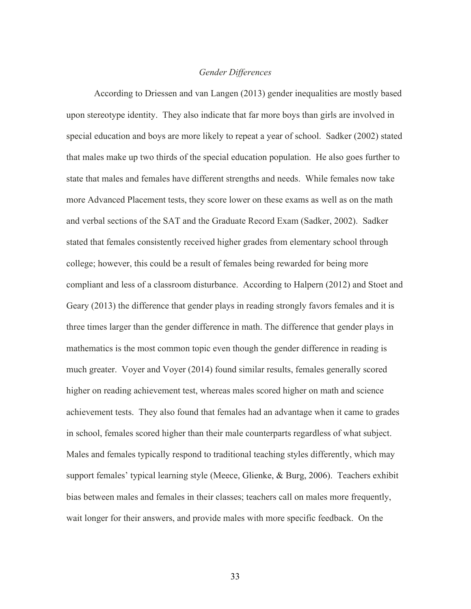#### *Gender Differences*

According to Driessen and van Langen (2013) gender inequalities are mostly based upon stereotype identity. They also indicate that far more boys than girls are involved in special education and boys are more likely to repeat a year of school. Sadker (2002) stated that males make up two thirds of the special education population. He also goes further to state that males and females have different strengths and needs. While females now take more Advanced Placement tests, they score lower on these exams as well as on the math and verbal sections of the SAT and the Graduate Record Exam (Sadker, 2002). Sadker stated that females consistently received higher grades from elementary school through college; however, this could be a result of females being rewarded for being more compliant and less of a classroom disturbance. According to Halpern (2012) and Stoet and Geary (2013) the difference that gender plays in reading strongly favors females and it is three times larger than the gender difference in math. The difference that gender plays in mathematics is the most common topic even though the gender difference in reading is much greater. Voyer and Voyer (2014) found similar results, females generally scored higher on reading achievement test, whereas males scored higher on math and science achievement tests. They also found that females had an advantage when it came to grades in school, females scored higher than their male counterparts regardless of what subject. Males and females typically respond to traditional teaching styles differently, which may support females' typical learning style (Meece, Glienke, & Burg, 2006). Teachers exhibit bias between males and females in their classes; teachers call on males more frequently, wait longer for their answers, and provide males with more specific feedback. On the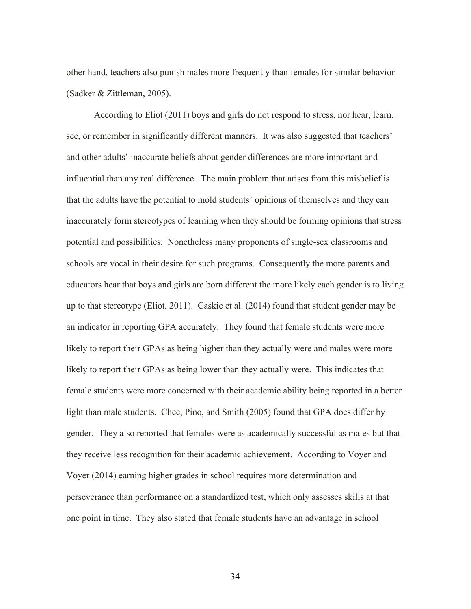other hand, teachers also punish males more frequently than females for similar behavior (Sadker & Zittleman, 2005).

According to Eliot (2011) boys and girls do not respond to stress, nor hear, learn, see, or remember in significantly different manners. It was also suggested that teachers' and other adults' inaccurate beliefs about gender differences are more important and influential than any real difference. The main problem that arises from this misbelief is that the adults have the potential to mold students' opinions of themselves and they can inaccurately form stereotypes of learning when they should be forming opinions that stress potential and possibilities. Nonetheless many proponents of single-sex classrooms and schools are vocal in their desire for such programs. Consequently the more parents and educators hear that boys and girls are born different the more likely each gender is to living up to that stereotype (Eliot, 2011). Caskie et al. (2014) found that student gender may be an indicator in reporting GPA accurately. They found that female students were more likely to report their GPAs as being higher than they actually were and males were more likely to report their GPAs as being lower than they actually were. This indicates that female students were more concerned with their academic ability being reported in a better light than male students. Chee, Pino, and Smith (2005) found that GPA does differ by gender. They also reported that females were as academically successful as males but that they receive less recognition for their academic achievement. According to Voyer and Voyer (2014) earning higher grades in school requires more determination and perseverance than performance on a standardized test, which only assesses skills at that one point in time. They also stated that female students have an advantage in school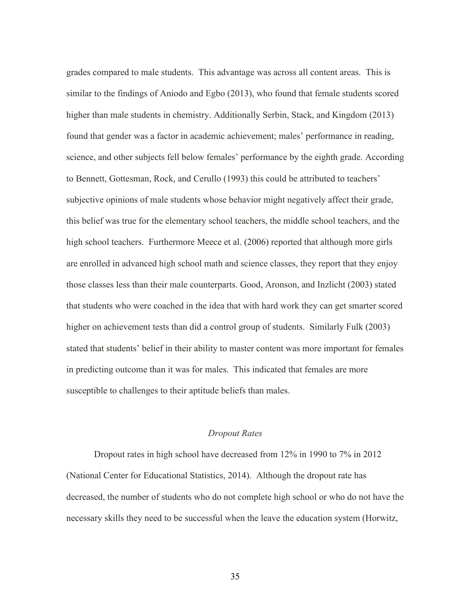grades compared to male students. This advantage was across all content areas. This is similar to the findings of Aniodo and Egbo (2013), who found that female students scored higher than male students in chemistry. Additionally Serbin, Stack, and Kingdom (2013) found that gender was a factor in academic achievement; males' performance in reading, science, and other subjects fell below females' performance by the eighth grade. According to Bennett, Gottesman, Rock, and Cerullo (1993) this could be attributed to teachers' subjective opinions of male students whose behavior might negatively affect their grade, this belief was true for the elementary school teachers, the middle school teachers, and the high school teachers. Furthermore Meece et al. (2006) reported that although more girls are enrolled in advanced high school math and science classes, they report that they enjoy those classes less than their male counterparts. Good, Aronson, and Inzlicht (2003) stated that students who were coached in the idea that with hard work they can get smarter scored higher on achievement tests than did a control group of students. Similarly Fulk (2003) stated that students' belief in their ability to master content was more important for females in predicting outcome than it was for males. This indicated that females are more susceptible to challenges to their aptitude beliefs than males.

#### *Dropout Rates*

Dropout rates in high school have decreased from 12% in 1990 to 7% in 2012 (National Center for Educational Statistics, 2014). Although the dropout rate has decreased, the number of students who do not complete high school or who do not have the necessary skills they need to be successful when the leave the education system (Horwitz,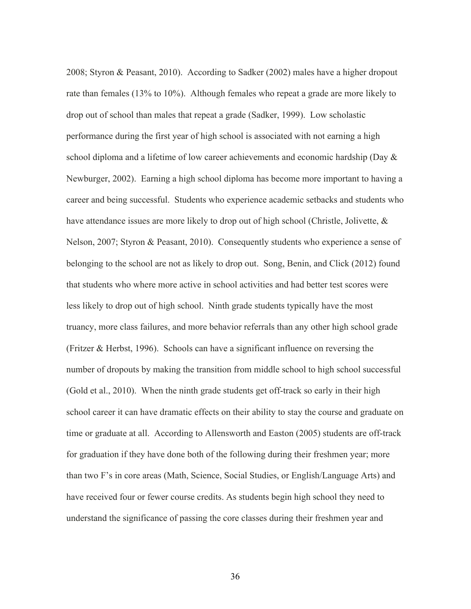2008; Styron & Peasant, 2010). According to Sadker (2002) males have a higher dropout rate than females (13% to 10%). Although females who repeat a grade are more likely to drop out of school than males that repeat a grade (Sadker, 1999). Low scholastic performance during the first year of high school is associated with not earning a high school diploma and a lifetime of low career achievements and economic hardship (Day & Newburger, 2002). Earning a high school diploma has become more important to having a career and being successful. Students who experience academic setbacks and students who have attendance issues are more likely to drop out of high school (Christle, Jolivette, & Nelson, 2007; Styron & Peasant, 2010). Consequently students who experience a sense of belonging to the school are not as likely to drop out. Song, Benin, and Click (2012) found that students who where more active in school activities and had better test scores were less likely to drop out of high school. Ninth grade students typically have the most truancy, more class failures, and more behavior referrals than any other high school grade (Fritzer & Herbst, 1996). Schools can have a significant influence on reversing the number of dropouts by making the transition from middle school to high school successful (Gold et al., 2010). When the ninth grade students get off-track so early in their high school career it can have dramatic effects on their ability to stay the course and graduate on time or graduate at all. According to Allensworth and Easton (2005) students are off-track for graduation if they have done both of the following during their freshmen year; more than two F's in core areas (Math, Science, Social Studies, or English/Language Arts) and have received four or fewer course credits. As students begin high school they need to understand the significance of passing the core classes during their freshmen year and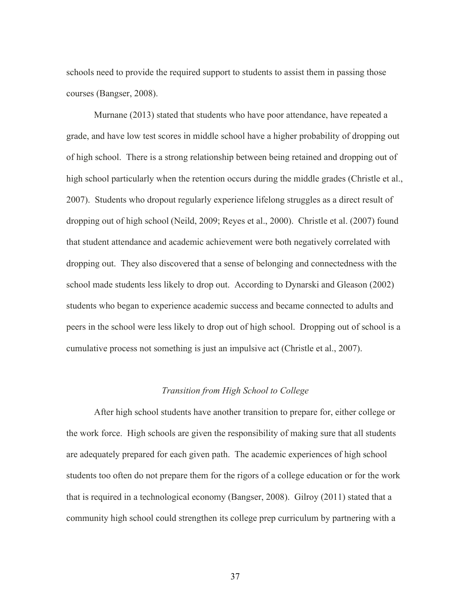schools need to provide the required support to students to assist them in passing those courses (Bangser, 2008).

Murnane (2013) stated that students who have poor attendance, have repeated a grade, and have low test scores in middle school have a higher probability of dropping out of high school. There is a strong relationship between being retained and dropping out of high school particularly when the retention occurs during the middle grades (Christle et al., 2007). Students who dropout regularly experience lifelong struggles as a direct result of dropping out of high school (Neild, 2009; Reyes et al., 2000). Christle et al. (2007) found that student attendance and academic achievement were both negatively correlated with dropping out. They also discovered that a sense of belonging and connectedness with the school made students less likely to drop out. According to Dynarski and Gleason (2002) students who began to experience academic success and became connected to adults and peers in the school were less likely to drop out of high school. Dropping out of school is a cumulative process not something is just an impulsive act (Christle et al., 2007).

#### *Transition from High School to College*

After high school students have another transition to prepare for, either college or the work force. High schools are given the responsibility of making sure that all students are adequately prepared for each given path. The academic experiences of high school students too often do not prepare them for the rigors of a college education or for the work that is required in a technological economy (Bangser, 2008). Gilroy (2011) stated that a community high school could strengthen its college prep curriculum by partnering with a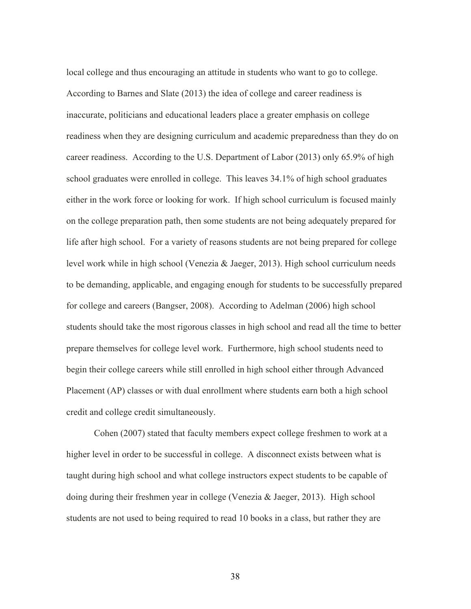local college and thus encouraging an attitude in students who want to go to college. According to Barnes and Slate (2013) the idea of college and career readiness is inaccurate, politicians and educational leaders place a greater emphasis on college readiness when they are designing curriculum and academic preparedness than they do on career readiness. According to the U.S. Department of Labor (2013) only 65.9% of high school graduates were enrolled in college. This leaves 34.1% of high school graduates either in the work force or looking for work. If high school curriculum is focused mainly on the college preparation path, then some students are not being adequately prepared for life after high school. For a variety of reasons students are not being prepared for college level work while in high school (Venezia & Jaeger, 2013). High school curriculum needs to be demanding, applicable, and engaging enough for students to be successfully prepared for college and careers (Bangser, 2008). According to Adelman (2006) high school students should take the most rigorous classes in high school and read all the time to better prepare themselves for college level work. Furthermore, high school students need to begin their college careers while still enrolled in high school either through Advanced Placement (AP) classes or with dual enrollment where students earn both a high school credit and college credit simultaneously.

Cohen (2007) stated that faculty members expect college freshmen to work at a higher level in order to be successful in college. A disconnect exists between what is taught during high school and what college instructors expect students to be capable of doing during their freshmen year in college (Venezia & Jaeger, 2013). High school students are not used to being required to read 10 books in a class, but rather they are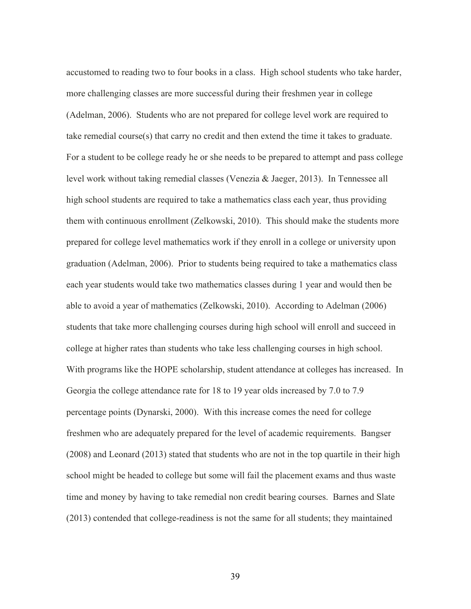accustomed to reading two to four books in a class. High school students who take harder, more challenging classes are more successful during their freshmen year in college (Adelman, 2006). Students who are not prepared for college level work are required to take remedial course(s) that carry no credit and then extend the time it takes to graduate. For a student to be college ready he or she needs to be prepared to attempt and pass college level work without taking remedial classes (Venezia & Jaeger, 2013). In Tennessee all high school students are required to take a mathematics class each year, thus providing them with continuous enrollment (Zelkowski, 2010). This should make the students more prepared for college level mathematics work if they enroll in a college or university upon graduation (Adelman, 2006). Prior to students being required to take a mathematics class each year students would take two mathematics classes during 1 year and would then be able to avoid a year of mathematics (Zelkowski, 2010). According to Adelman (2006) students that take more challenging courses during high school will enroll and succeed in college at higher rates than students who take less challenging courses in high school. With programs like the HOPE scholarship, student attendance at colleges has increased. In Georgia the college attendance rate for 18 to 19 year olds increased by 7.0 to 7.9 percentage points (Dynarski, 2000). With this increase comes the need for college freshmen who are adequately prepared for the level of academic requirements. Bangser (2008) and Leonard (2013) stated that students who are not in the top quartile in their high school might be headed to college but some will fail the placement exams and thus waste time and money by having to take remedial non credit bearing courses. Barnes and Slate (2013) contended that college-readiness is not the same for all students; they maintained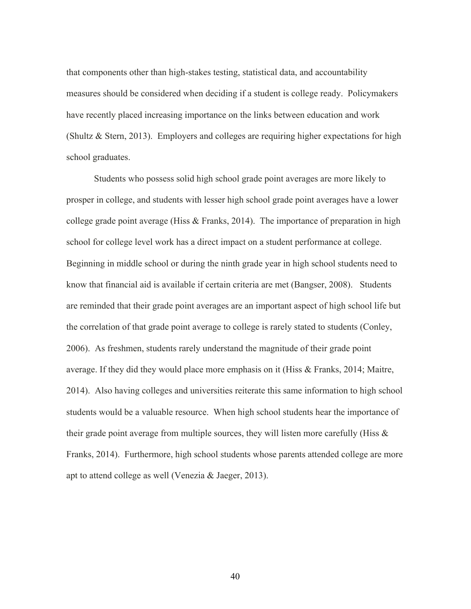that components other than high-stakes testing, statistical data, and accountability measures should be considered when deciding if a student is college ready. Policymakers have recently placed increasing importance on the links between education and work (Shultz & Stern, 2013). Employers and colleges are requiring higher expectations for high school graduates.

Students who possess solid high school grade point averages are more likely to prosper in college, and students with lesser high school grade point averages have a lower college grade point average (Hiss & Franks, 2014). The importance of preparation in high school for college level work has a direct impact on a student performance at college. Beginning in middle school or during the ninth grade year in high school students need to know that financial aid is available if certain criteria are met (Bangser, 2008). Students are reminded that their grade point averages are an important aspect of high school life but the correlation of that grade point average to college is rarely stated to students (Conley, 2006). As freshmen, students rarely understand the magnitude of their grade point average. If they did they would place more emphasis on it (Hiss & Franks, 2014; Maitre, 2014). Also having colleges and universities reiterate this same information to high school students would be a valuable resource. When high school students hear the importance of their grade point average from multiple sources, they will listen more carefully (Hiss  $\&$ Franks, 2014). Furthermore, high school students whose parents attended college are more apt to attend college as well (Venezia & Jaeger, 2013).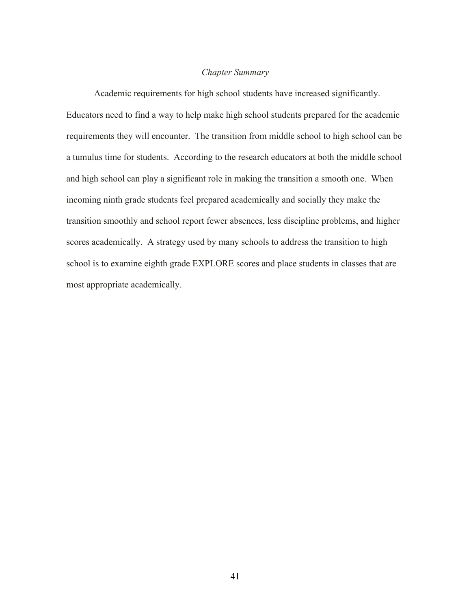# *Chapter Summary*

Academic requirements for high school students have increased significantly. Educators need to find a way to help make high school students prepared for the academic requirements they will encounter. The transition from middle school to high school can be a tumulus time for students. According to the research educators at both the middle school and high school can play a significant role in making the transition a smooth one. When incoming ninth grade students feel prepared academically and socially they make the transition smoothly and school report fewer absences, less discipline problems, and higher scores academically. A strategy used by many schools to address the transition to high school is to examine eighth grade EXPLORE scores and place students in classes that are most appropriate academically.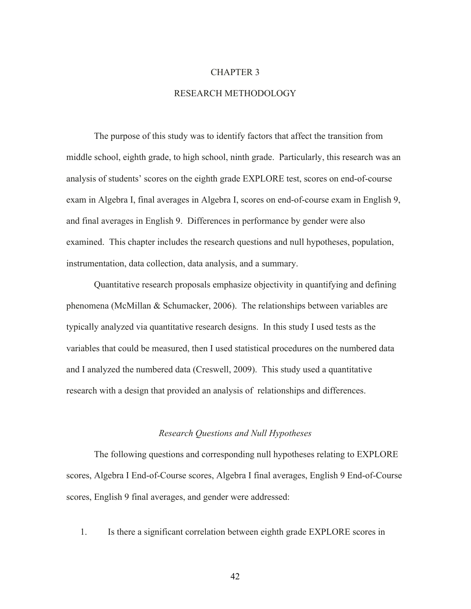#### CHAPTER 3

## RESEARCH METHODOLOGY

The purpose of this study was to identify factors that affect the transition from middle school, eighth grade, to high school, ninth grade. Particularly, this research was an analysis of students' scores on the eighth grade EXPLORE test, scores on end-of-course exam in Algebra I, final averages in Algebra I, scores on end-of-course exam in English 9, and final averages in English 9. Differences in performance by gender were also examined. This chapter includes the research questions and null hypotheses, population, instrumentation, data collection, data analysis, and a summary.

Quantitative research proposals emphasize objectivity in quantifying and defining phenomena (McMillan & Schumacker, 2006). The relationships between variables are typically analyzed via quantitative research designs. In this study I used tests as the variables that could be measured, then I used statistical procedures on the numbered data and I analyzed the numbered data (Creswell, 2009). This study used a quantitative research with a design that provided an analysis of relationships and differences.

#### *Research Questions and Null Hypotheses*

The following questions and corresponding null hypotheses relating to EXPLORE scores, Algebra I End-of-Course scores, Algebra I final averages, English 9 End-of-Course scores, English 9 final averages, and gender were addressed:

1. Is there a significant correlation between eighth grade EXPLORE scores in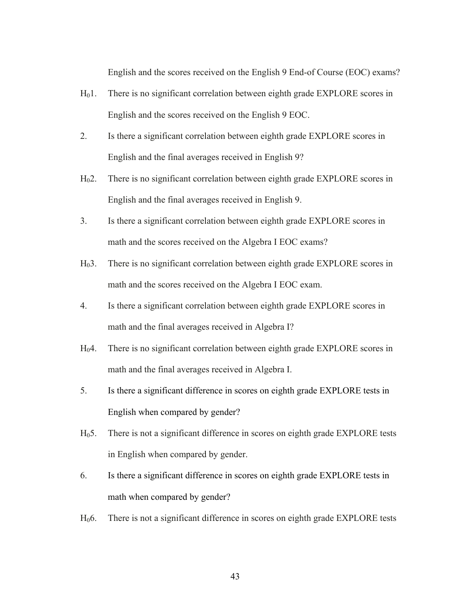English and the scores received on the English 9 End-of Course (EOC) exams?

- H01. There is no significant correlation between eighth grade EXPLORE scores in English and the scores received on the English 9 EOC.
- 2. Is there a significant correlation between eighth grade EXPLORE scores in English and the final averages received in English 9?
- H02. There is no significant correlation between eighth grade EXPLORE scores in English and the final averages received in English 9.
- 3. Is there a significant correlation between eighth grade EXPLORE scores in math and the scores received on the Algebra I EOC exams?
- H03. There is no significant correlation between eighth grade EXPLORE scores in math and the scores received on the Algebra I EOC exam.
- 4. Is there a significant correlation between eighth grade EXPLORE scores in math and the final averages received in Algebra I?
- H04. There is no significant correlation between eighth grade EXPLORE scores in math and the final averages received in Algebra I.
- 5. Is there a significant difference in scores on eighth grade EXPLORE tests in English when compared by gender?
- H05. There is not a significant difference in scores on eighth grade EXPLORE tests in English when compared by gender.
- 6. Is there a significant difference in scores on eighth grade EXPLORE tests in math when compared by gender?
- H06. There is not a significant difference in scores on eighth grade EXPLORE tests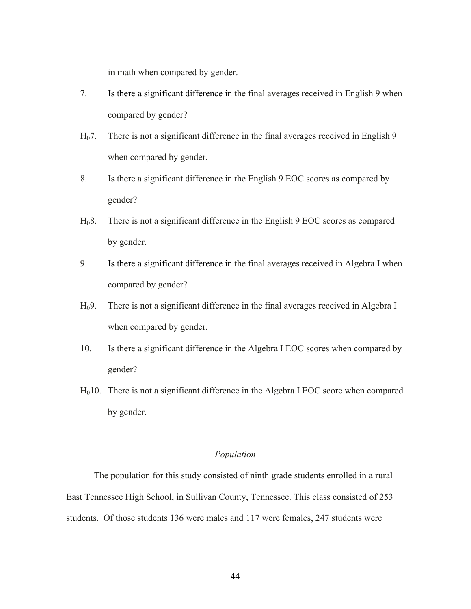in math when compared by gender.

- 7. Is there a significant difference in the final averages received in English 9 when compared by gender?
- H07. There is not a significant difference in the final averages received in English 9 when compared by gender.
- 8. Is there a significant difference in the English 9 EOC scores as compared by gender?
- H08. There is not a significant difference in the English 9 EOC scores as compared by gender.
- 9. Is there a significant difference in the final averages received in Algebra I when compared by gender?
- H09. There is not a significant difference in the final averages received in Algebra I when compared by gender.
- 10. Is there a significant difference in the Algebra I EOC scores when compared by gender?
- $H<sub>0</sub>10$ . There is not a significant difference in the Algebra I EOC score when compared by gender.

## *Population*

The population for this study consisted of ninth grade students enrolled in a rural East Tennessee High School, in Sullivan County, Tennessee. This class consisted of 253 students. Of those students 136 were males and 117 were females, 247 students were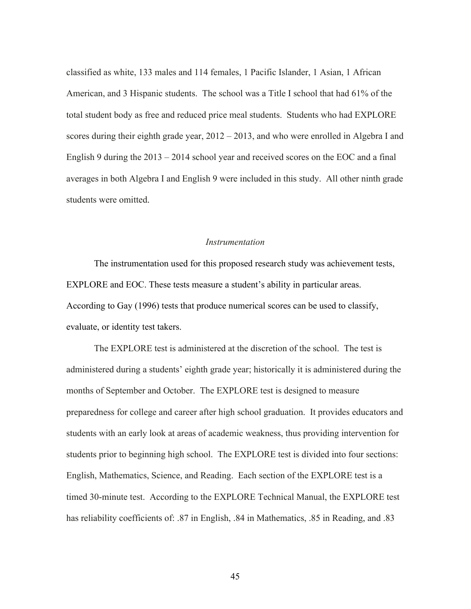classified as white, 133 males and 114 females, 1 Pacific Islander, 1 Asian, 1 African American, and 3 Hispanic students. The school was a Title I school that had 61% of the total student body as free and reduced price meal students. Students who had EXPLORE scores during their eighth grade year, 2012 – 2013, and who were enrolled in Algebra I and English 9 during the 2013 – 2014 school year and received scores on the EOC and a final averages in both Algebra I and English 9 were included in this study. All other ninth grade students were omitted.

#### *Instrumentation*

The instrumentation used for this proposed research study was achievement tests, EXPLORE and EOC. These tests measure a student's ability in particular areas. According to Gay (1996) tests that produce numerical scores can be used to classify, evaluate, or identity test takers.

The EXPLORE test is administered at the discretion of the school. The test is administered during a students' eighth grade year; historically it is administered during the months of September and October. The EXPLORE test is designed to measure preparedness for college and career after high school graduation. It provides educators and students with an early look at areas of academic weakness, thus providing intervention for students prior to beginning high school. The EXPLORE test is divided into four sections: English, Mathematics, Science, and Reading. Each section of the EXPLORE test is a timed 30-minute test. According to the EXPLORE Technical Manual, the EXPLORE test has reliability coefficients of: .87 in English, .84 in Mathematics, .85 in Reading, and .83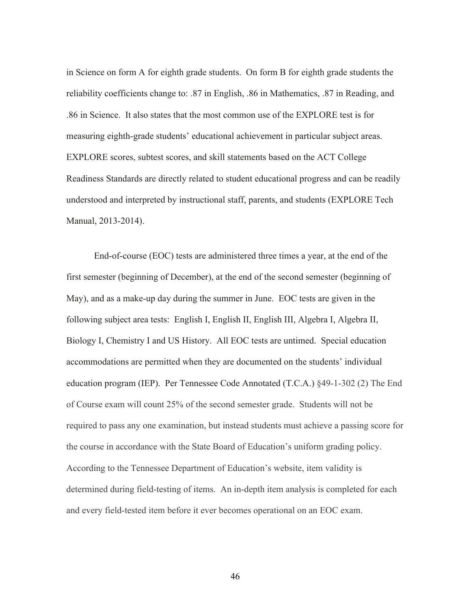in Science on form A for eighth grade students. On form B for eighth grade students the reliability coefficients change to: .87 in English, .86 in Mathematics, .87 in Reading, and .86 in Science. It also states that the most common use of the EXPLORE test is for measuring eighth-grade students' educational achievement in particular subject areas. EXPLORE scores, subtest scores, and skill statements based on the ACT College Readiness Standards are directly related to student educational progress and can be readily understood and interpreted by instructional staff, parents, and students (EXPLORE Tech Manual, 2013-2014).

End-of-course (EOC) tests are administered three times a year, at the end of the first semester (beginning of December), at the end of the second semester (beginning of May), and as a make-up day during the summer in June. EOC tests are given in the following subject area tests: English I, English II, English III, Algebra I, Algebra II, Biology I, Chemistry I and US History. All EOC tests are untimed. Special education accommodations are permitted when they are documented on the students' individual education program (IEP). Per Tennessee Code Annotated (T.C.A.) §49-1-302 (2) The End of Course exam will count 25% of the second semester grade. Students will not be required to pass any one examination, but instead students must achieve a passing score for the course in accordance with the State Board of Education's uniform grading policy. According to the Tennessee Department of Education's website, item validity is determined during field-testing of items. An in-depth item analysis is completed for each and every field-tested item before it ever becomes operational on an EOC exam.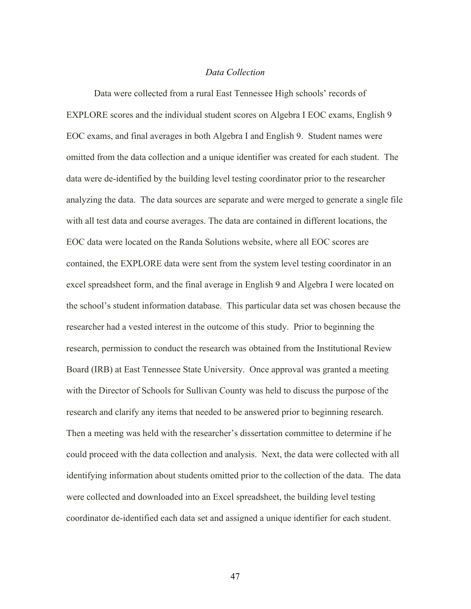## *Data Collection*

Data were collected from a rural East Tennessee High schools' records of EXPLORE scores and the individual student scores on Algebra I EOC exams, English 9 EOC exams, and final averages in both Algebra I and English 9. Student names were omitted from the data collection and a unique identifier was created for each student. The data were de-identified by the building level testing coordinator prior to the researcher analyzing the data. The data sources are separate and were merged to generate a single file with all test data and course averages. The data are contained in different locations, the EOC data were located on the Randa Solutions website, where all EOC scores are contained, the EXPLORE data were sent from the system level testing coordinator in an excel spreadsheet form, and the final average in English 9 and Algebra I were located on the school's student information database. This particular data set was chosen because the researcher had a vested interest in the outcome of this study. Prior to beginning the research, permission to conduct the research was obtained from the Institutional Review Board (IRB) at East Tennessee State University. Once approval was granted a meeting with the Director of Schools for Sullivan County was held to discuss the purpose of the research and clarify any items that needed to be answered prior to beginning research. Then a meeting was held with the researcher's dissertation committee to determine if he could proceed with the data collection and analysis. Next, the data were collected with all identifying information about students omitted prior to the collection of the data. The data were collected and downloaded into an Excel spreadsheet, the building level testing coordinator de-identified each data set and assigned a unique identifier for each student.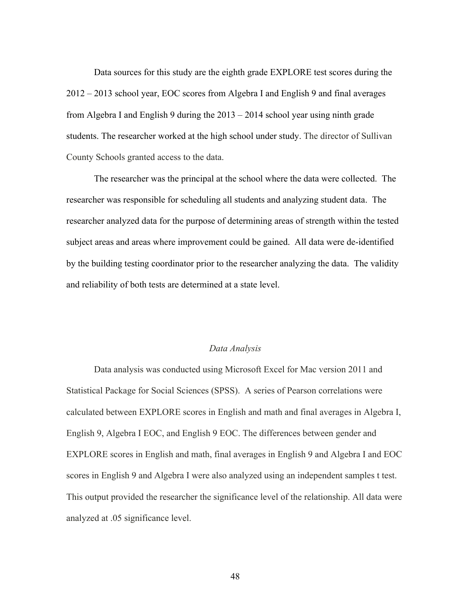Data sources for this study are the eighth grade EXPLORE test scores during the 2012 – 2013 school year, EOC scores from Algebra I and English 9 and final averages from Algebra I and English 9 during the 2013 – 2014 school year using ninth grade students. The researcher worked at the high school under study. The director of Sullivan County Schools granted access to the data.

The researcher was the principal at the school where the data were collected. The researcher was responsible for scheduling all students and analyzing student data. The researcher analyzed data for the purpose of determining areas of strength within the tested subject areas and areas where improvement could be gained. All data were de-identified by the building testing coordinator prior to the researcher analyzing the data. The validity and reliability of both tests are determined at a state level.

# *Data Analysis*

Data analysis was conducted using Microsoft Excel for Mac version 2011 and Statistical Package for Social Sciences (SPSS). A series of Pearson correlations were calculated between EXPLORE scores in English and math and final averages in Algebra I, English 9, Algebra I EOC, and English 9 EOC. The differences between gender and EXPLORE scores in English and math, final averages in English 9 and Algebra I and EOC scores in English 9 and Algebra I were also analyzed using an independent samples t test. This output provided the researcher the significance level of the relationship. All data were analyzed at .05 significance level.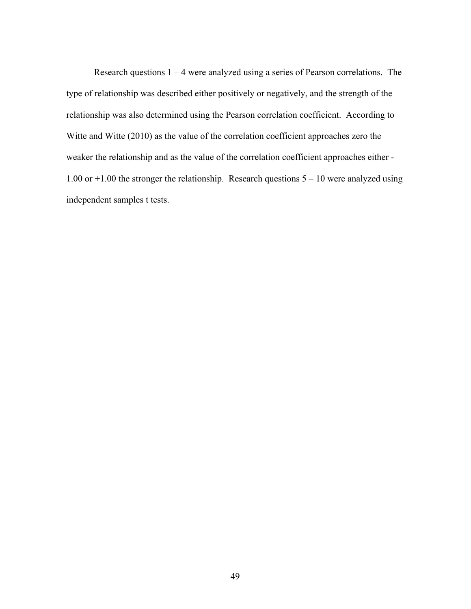Research questions  $1 - 4$  were analyzed using a series of Pearson correlations. The type of relationship was described either positively or negatively, and the strength of the relationship was also determined using the Pearson correlation coefficient. According to Witte and Witte (2010) as the value of the correlation coefficient approaches zero the weaker the relationship and as the value of the correlation coefficient approaches either - 1.00 or +1.00 the stronger the relationship. Research questions 5 – 10 were analyzed using independent samples t tests.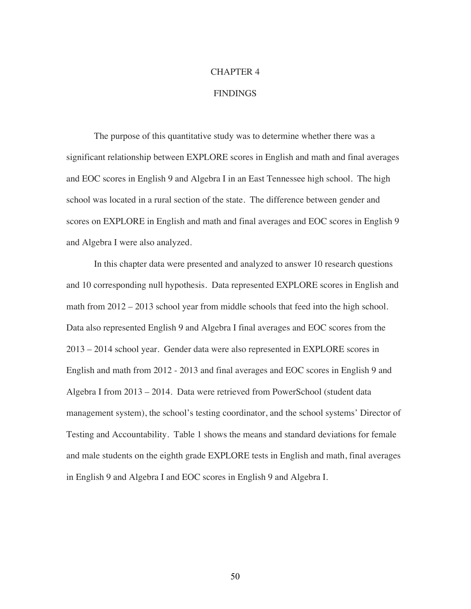# CHAPTER 4

# **FINDINGS**

The purpose of this quantitative study was to determine whether there was a significant relationship between EXPLORE scores in English and math and final averages and EOC scores in English 9 and Algebra I in an East Tennessee high school. The high school was located in a rural section of the state. The difference between gender and scores on EXPLORE in English and math and final averages and EOC scores in English 9 and Algebra I were also analyzed.

In this chapter data were presented and analyzed to answer 10 research questions and 10 corresponding null hypothesis. Data represented EXPLORE scores in English and math from 2012 – 2013 school year from middle schools that feed into the high school. Data also represented English 9 and Algebra I final averages and EOC scores from the 2013 – 2014 school year. Gender data were also represented in EXPLORE scores in English and math from 2012 - 2013 and final averages and EOC scores in English 9 and Algebra I from 2013 – 2014. Data were retrieved from PowerSchool (student data management system), the school's testing coordinator, and the school systems' Director of Testing and Accountability. Table 1 shows the means and standard deviations for female and male students on the eighth grade EXPLORE tests in English and math, final averages in English 9 and Algebra I and EOC scores in English 9 and Algebra I.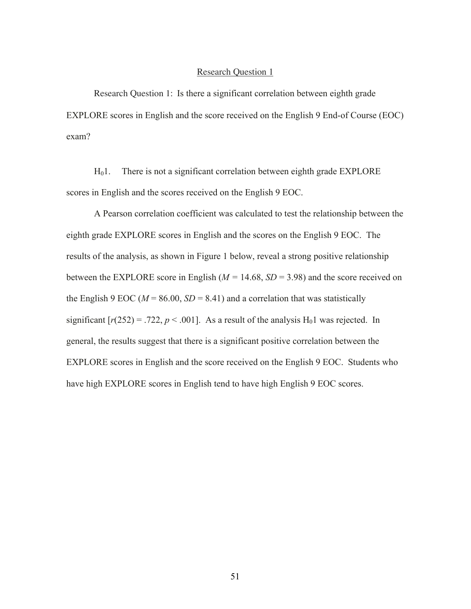Research Question 1: Is there a significant correlation between eighth grade EXPLORE scores in English and the score received on the English 9 End-of Course (EOC) exam?

 $H<sub>0</sub>1$ . There is not a significant correlation between eighth grade EXPLORE scores in English and the scores received on the English 9 EOC.

A Pearson correlation coefficient was calculated to test the relationship between the eighth grade EXPLORE scores in English and the scores on the English 9 EOC. The results of the analysis, as shown in Figure 1 below, reveal a strong positive relationship between the EXPLORE score in English ( $M = 14.68$ ,  $SD = 3.98$ ) and the score received on the English 9 EOC ( $M = 86.00$ ,  $SD = 8.41$ ) and a correlation that was statistically significant  $[r(252) = .722, p < .001]$ . As a result of the analysis H<sub>0</sub>1 was rejected. In general, the results suggest that there is a significant positive correlation between the EXPLORE scores in English and the score received on the English 9 EOC. Students who have high EXPLORE scores in English tend to have high English 9 EOC scores.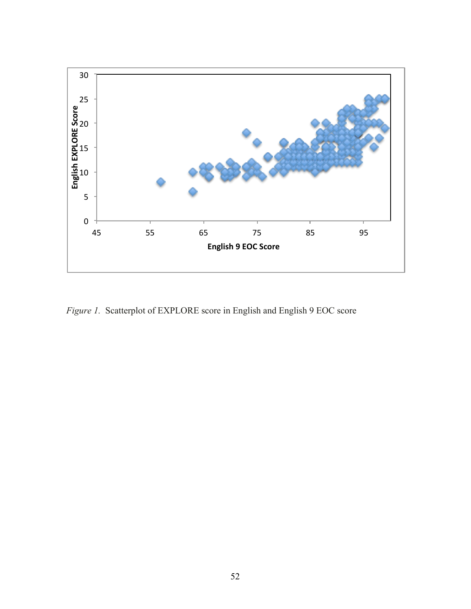

*Figure 1.* Scatterplot of EXPLORE score in English and English 9 EOC score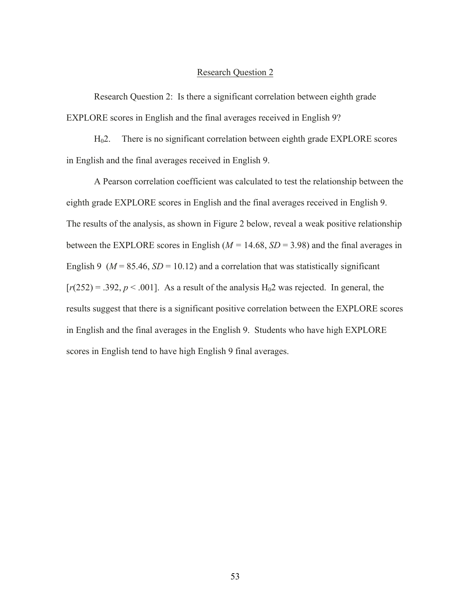Research Question 2: Is there a significant correlation between eighth grade EXPLORE scores in English and the final averages received in English 9?

H02. There is no significant correlation between eighth grade EXPLORE scores in English and the final averages received in English 9.

A Pearson correlation coefficient was calculated to test the relationship between the eighth grade EXPLORE scores in English and the final averages received in English 9. The results of the analysis, as shown in Figure 2 below, reveal a weak positive relationship between the EXPLORE scores in English ( $M = 14.68$ ,  $SD = 3.98$ ) and the final averages in English 9 ( $M = 85.46$ ,  $SD = 10.12$ ) and a correlation that was statistically significant  $[r(252) = .392, p < .001]$ . As a result of the analysis H<sub>0</sub>2 was rejected. In general, the results suggest that there is a significant positive correlation between the EXPLORE scores in English and the final averages in the English 9. Students who have high EXPLORE scores in English tend to have high English 9 final averages.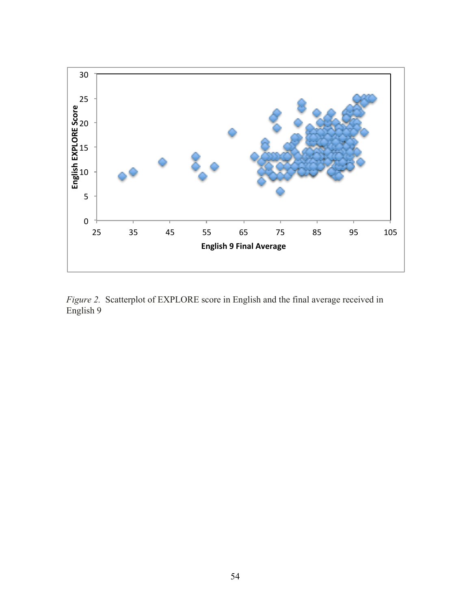

*Figure 2.* Scatterplot of EXPLORE score in English and the final average received in English 9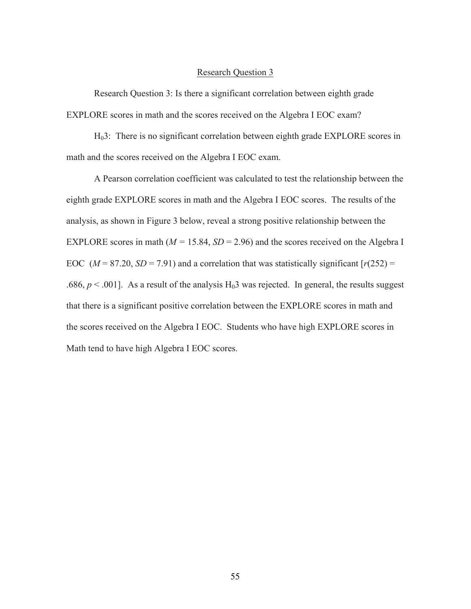Research Question 3: Is there a significant correlation between eighth grade EXPLORE scores in math and the scores received on the Algebra I EOC exam?

H03: There is no significant correlation between eighth grade EXPLORE scores in math and the scores received on the Algebra I EOC exam.

A Pearson correlation coefficient was calculated to test the relationship between the eighth grade EXPLORE scores in math and the Algebra I EOC scores. The results of the analysis, as shown in Figure 3 below, reveal a strong positive relationship between the EXPLORE scores in math ( $M = 15.84$ ,  $SD = 2.96$ ) and the scores received on the Algebra I EOC ( $M = 87.20$ ,  $SD = 7.91$ ) and a correlation that was statistically significant  $[r(252) =$ .686,  $p < 0.001$ ]. As a result of the analysis H<sub>0</sub>3 was rejected. In general, the results suggest that there is a significant positive correlation between the EXPLORE scores in math and the scores received on the Algebra I EOC. Students who have high EXPLORE scores in Math tend to have high Algebra I EOC scores.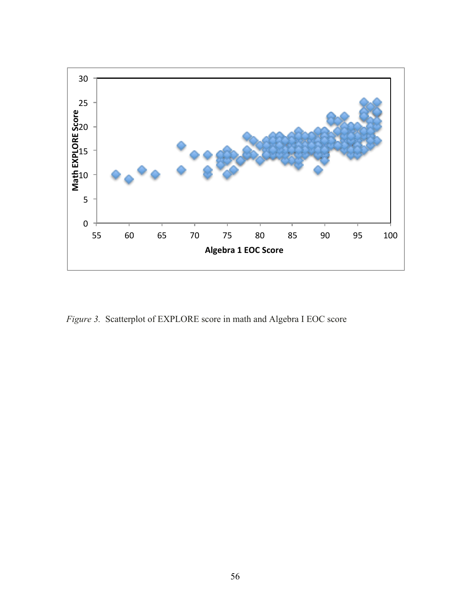

*Figure 3.* Scatterplot of EXPLORE score in math and Algebra I EOC score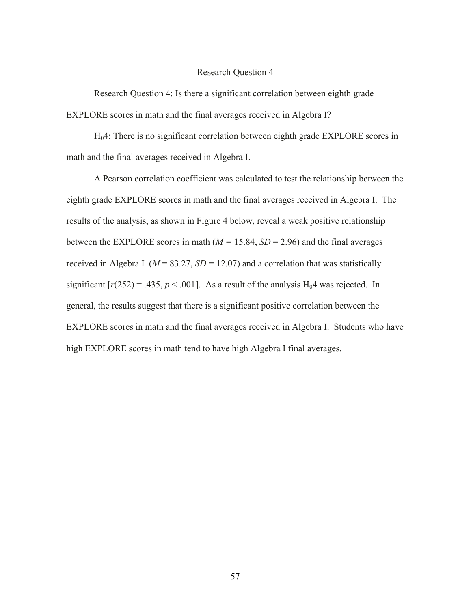Research Question 4: Is there a significant correlation between eighth grade EXPLORE scores in math and the final averages received in Algebra I?

H04: There is no significant correlation between eighth grade EXPLORE scores in math and the final averages received in Algebra I.

A Pearson correlation coefficient was calculated to test the relationship between the eighth grade EXPLORE scores in math and the final averages received in Algebra I. The results of the analysis, as shown in Figure 4 below, reveal a weak positive relationship between the EXPLORE scores in math  $(M = 15.84, SD = 2.96)$  and the final averages received in Algebra I ( $M = 83.27$ ,  $SD = 12.07$ ) and a correlation that was statistically significant  $[r(252) = .435, p < .001]$ . As a result of the analysis  $H_04$  was rejected. In general, the results suggest that there is a significant positive correlation between the EXPLORE scores in math and the final averages received in Algebra I. Students who have high EXPLORE scores in math tend to have high Algebra I final averages.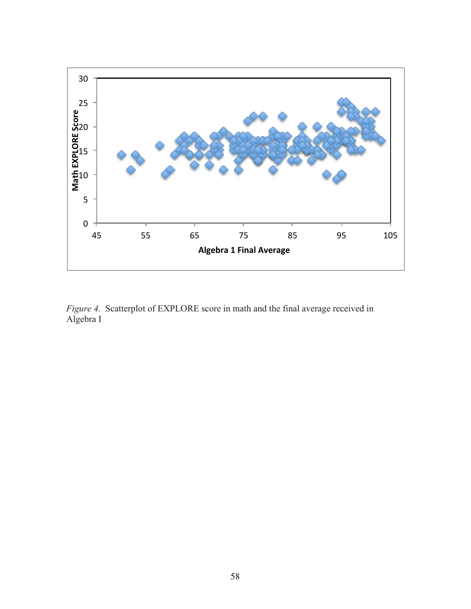

*Figure 4.* Scatterplot of EXPLORE score in math and the final average received in Algebra I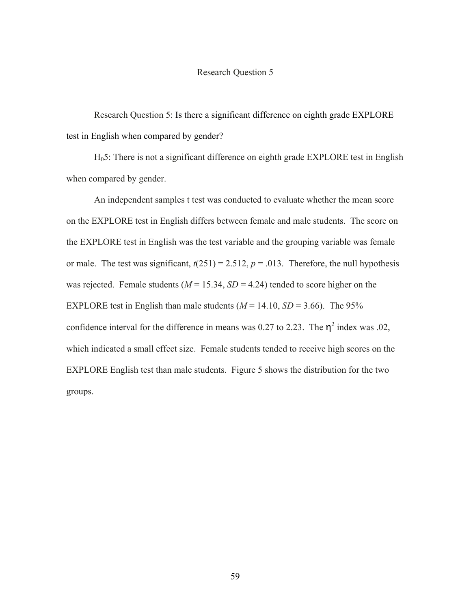Research Question 5: Is there a significant difference on eighth grade EXPLORE test in English when compared by gender?

H05: There is not a significant difference on eighth grade EXPLORE test in English when compared by gender.

An independent samples t test was conducted to evaluate whether the mean score on the EXPLORE test in English differs between female and male students. The score on the EXPLORE test in English was the test variable and the grouping variable was female or male. The test was significant,  $t(251) = 2.512$ ,  $p = .013$ . Therefore, the null hypothesis was rejected. Female students  $(M = 15.34, SD = 4.24)$  tended to score higher on the EXPLORE test in English than male students  $(M = 14.10, SD = 3.66)$ . The 95% confidence interval for the difference in means was 0.27 to 2.23. The  $\eta^2$  index was .02, which indicated a small effect size. Female students tended to receive high scores on the EXPLORE English test than male students. Figure 5 shows the distribution for the two groups.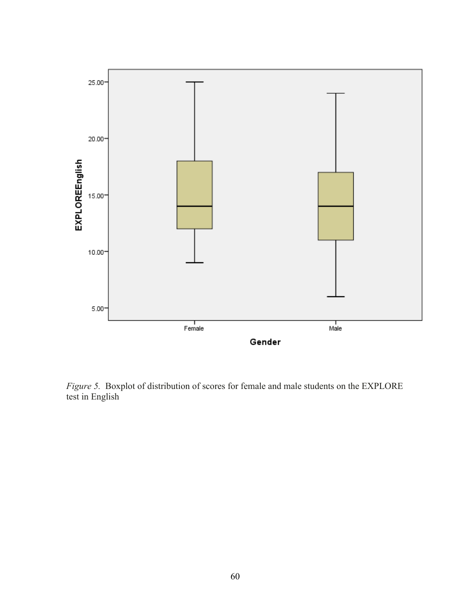

*Figure 5.* Boxplot of distribution of scores for female and male students on the EXPLORE test in English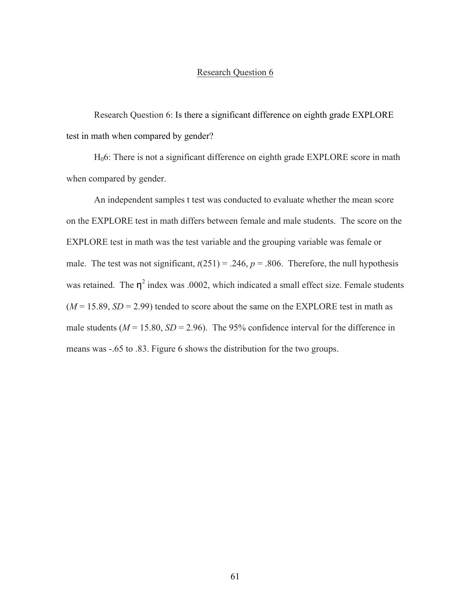Research Question 6: Is there a significant difference on eighth grade EXPLORE test in math when compared by gender?

H06: There is not a significant difference on eighth grade EXPLORE score in math when compared by gender.

An independent samples t test was conducted to evaluate whether the mean score on the EXPLORE test in math differs between female and male students. The score on the EXPLORE test in math was the test variable and the grouping variable was female or male. The test was not significant,  $t(251) = .246$ ,  $p = .806$ . Therefore, the null hypothesis was retained. The  $\eta^2$  index was .0002, which indicated a small effect size. Female students  $(M = 15.89, SD = 2.99)$  tended to score about the same on the EXPLORE test in math as male students ( $M = 15.80$ ,  $SD = 2.96$ ). The 95% confidence interval for the difference in means was -.65 to .83. Figure 6 shows the distribution for the two groups.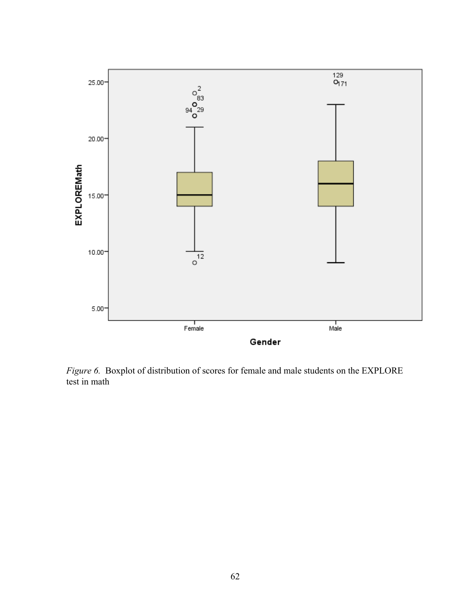

*Figure 6.* Boxplot of distribution of scores for female and male students on the EXPLORE test in math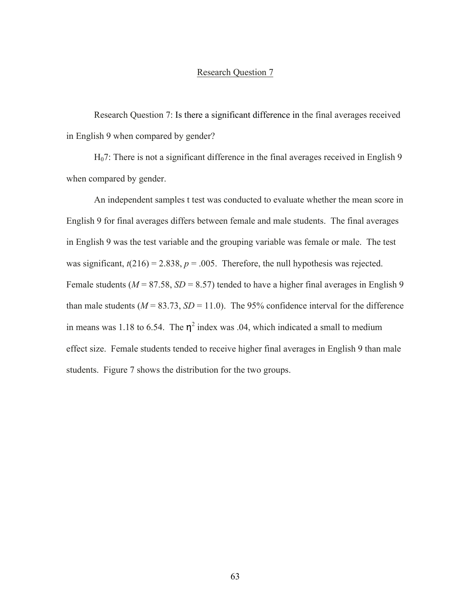Research Question 7: Is there a significant difference in the final averages received in English 9 when compared by gender?

H07: There is not a significant difference in the final averages received in English 9 when compared by gender.

An independent samples t test was conducted to evaluate whether the mean score in English 9 for final averages differs between female and male students. The final averages in English 9 was the test variable and the grouping variable was female or male. The test was significant,  $t(216) = 2.838$ ,  $p = .005$ . Therefore, the null hypothesis was rejected. Female students ( $M = 87.58$ ,  $SD = 8.57$ ) tended to have a higher final averages in English 9 than male students ( $M = 83.73$ ,  $SD = 11.0$ ). The 95% confidence interval for the difference in means was 1.18 to 6.54. The  $\eta^2$  index was .04, which indicated a small to medium effect size. Female students tended to receive higher final averages in English 9 than male students. Figure 7 shows the distribution for the two groups.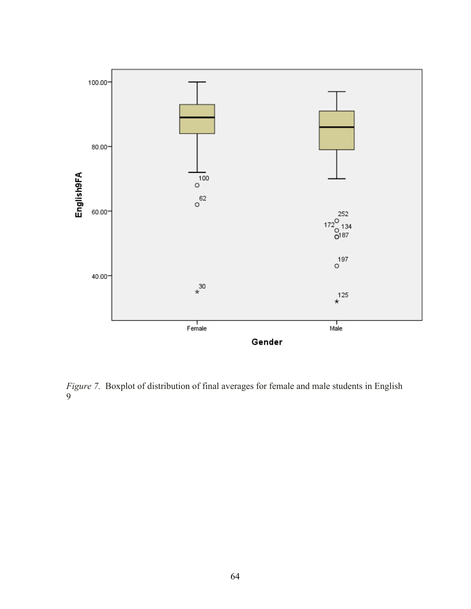

*Figure 7.* Boxplot of distribution of final averages for female and male students in English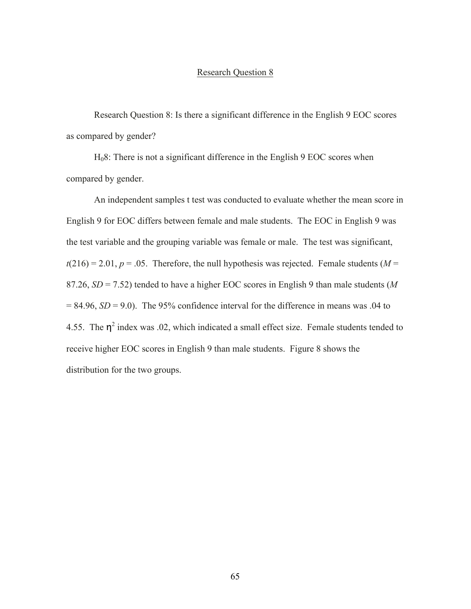Research Question 8: Is there a significant difference in the English 9 EOC scores as compared by gender?

H08: There is not a significant difference in the English 9 EOC scores when compared by gender.

An independent samples t test was conducted to evaluate whether the mean score in English 9 for EOC differs between female and male students. The EOC in English 9 was the test variable and the grouping variable was female or male. The test was significant,  $t(216) = 2.01$ ,  $p = .05$ . Therefore, the null hypothesis was rejected. Female students ( $M =$ 87.26, *SD* = 7.52) tended to have a higher EOC scores in English 9 than male students (*M*  $= 84.96$ ,  $SD = 9.0$ ). The 95% confidence interval for the difference in means was .04 to 4.55. The  $\eta^2$  index was .02, which indicated a small effect size. Female students tended to receive higher EOC scores in English 9 than male students. Figure 8 shows the distribution for the two groups.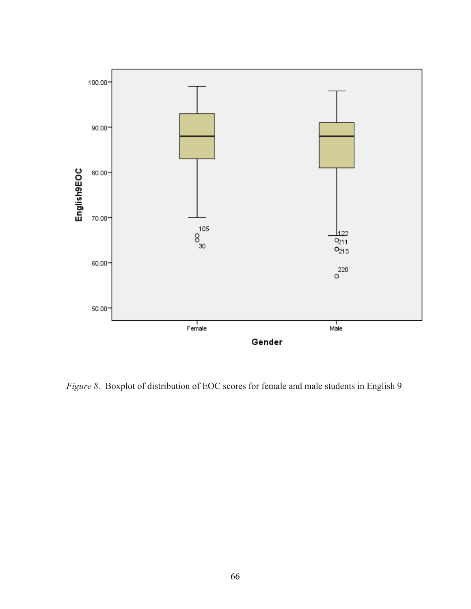

*Figure 8.* Boxplot of distribution of EOC scores for female and male students in English 9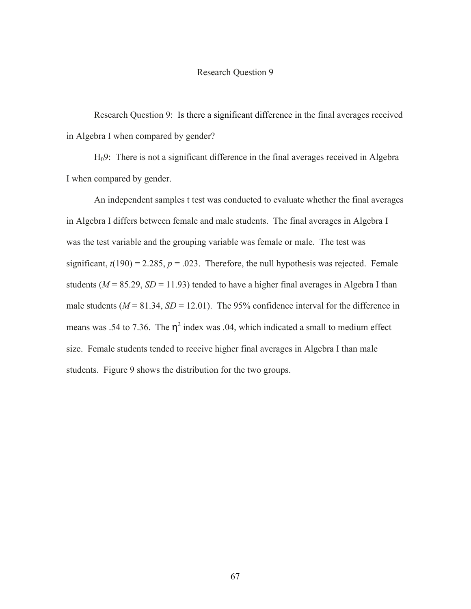Research Question 9: Is there a significant difference in the final averages received in Algebra I when compared by gender?

H09: There is not a significant difference in the final averages received in Algebra I when compared by gender.

An independent samples t test was conducted to evaluate whether the final averages in Algebra I differs between female and male students. The final averages in Algebra I was the test variable and the grouping variable was female or male. The test was significant,  $t(190) = 2.285$ ,  $p = .023$ . Therefore, the null hypothesis was rejected. Female students ( $M = 85.29$ ,  $SD = 11.93$ ) tended to have a higher final averages in Algebra I than male students ( $M = 81.34$ ,  $SD = 12.01$ ). The 95% confidence interval for the difference in means was .54 to 7.36. The  $\eta^2$  index was .04, which indicated a small to medium effect size. Female students tended to receive higher final averages in Algebra I than male students. Figure 9 shows the distribution for the two groups.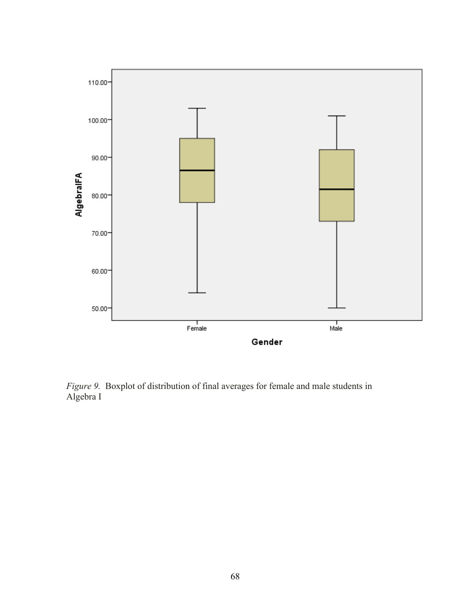

*Figure 9.* Boxplot of distribution of final averages for female and male students in Algebra I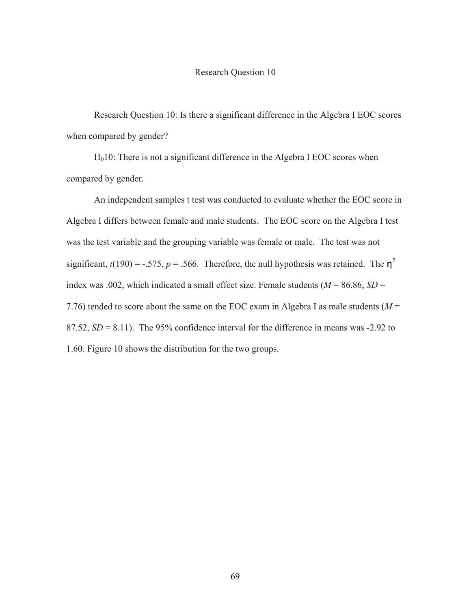Research Question 10: Is there a significant difference in the Algebra I EOC scores when compared by gender?

 $H<sub>0</sub>10$ : There is not a significant difference in the Algebra I EOC scores when compared by gender.

An independent samples t test was conducted to evaluate whether the EOC score in Algebra I differs between female and male students. The EOC score on the Algebra I test was the test variable and the grouping variable was female or male. The test was not significant,  $t(190) = -.575$ ,  $p = .566$ . Therefore, the null hypothesis was retained. The  $\eta^2$ index was .002, which indicated a small effect size. Female students ( $M = 86.86$ ,  $SD =$ 7.76) tended to score about the same on the EOC exam in Algebra I as male students (*M* = 87.52,  $SD = 8.11$ ). The 95% confidence interval for the difference in means was  $-2.92$  to 1.60. Figure 10 shows the distribution for the two groups.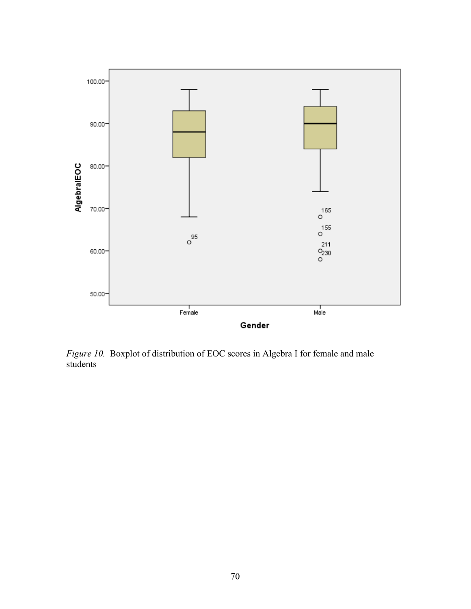

*Figure 10.* Boxplot of distribution of EOC scores in Algebra I for female and male students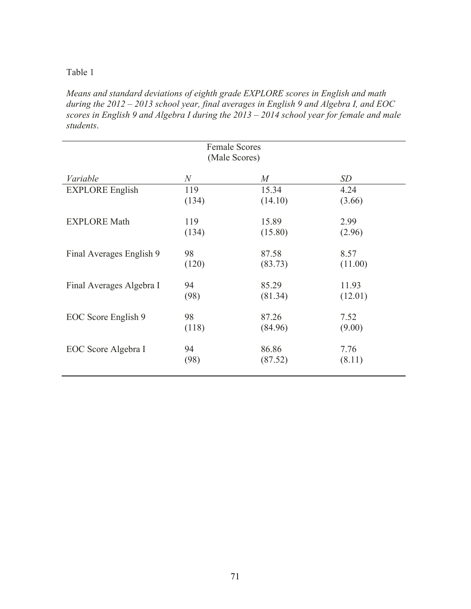Table 1

*Means and standard deviations of eighth grade EXPLORE scores in English and math during the 2012 – 2013 school year, final averages in English 9 and Algebra I, and EOC scores in English 9 and Algebra I during the 2013 – 2014 school year for female and male students*.

| <b>Female Scores</b><br>(Male Scores) |                |                  |         |
|---------------------------------------|----------------|------------------|---------|
| Variable                              | $\overline{N}$ | $\boldsymbol{M}$ | SD      |
| <b>EXPLORE</b> English                | 119            | 15.34            | 4.24    |
|                                       | (134)          | (14.10)          | (3.66)  |
| <b>EXPLORE Math</b>                   | 119            | 15.89            | 2.99    |
|                                       | (134)          | (15.80)          | (2.96)  |
| Final Averages English 9              | 98             | 87.58            | 8.57    |
|                                       | (120)          | (83.73)          | (11.00) |
| Final Averages Algebra I              | 94             | 85.29            | 11.93   |
|                                       | (98)           | (81.34)          | (12.01) |
| EOC Score English 9                   | 98             | 87.26            | 7.52    |
|                                       | (118)          | (84.96)          | (9.00)  |
| EOC Score Algebra I                   | 94             | 86.86            | 7.76    |
|                                       | (98)           | (87.52)          | (8.11)  |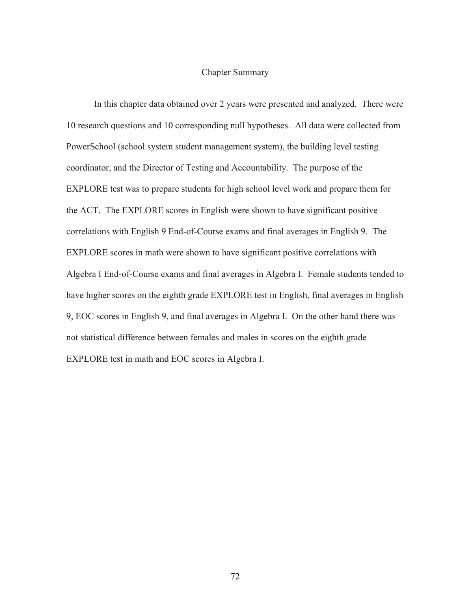### Chapter Summary

In this chapter data obtained over 2 years were presented and analyzed. There were 10 research questions and 10 corresponding null hypotheses. All data were collected from PowerSchool (school system student management system), the building level testing coordinator, and the Director of Testing and Accountability. The purpose of the EXPLORE test was to prepare students for high school level work and prepare them for the ACT. The EXPLORE scores in English were shown to have significant positive correlations with English 9 End-of-Course exams and final averages in English 9. The EXPLORE scores in math were shown to have significant positive correlations with Algebra I End-of-Course exams and final averages in Algebra I. Female students tended to have higher scores on the eighth grade EXPLORE test in English, final averages in English 9, EOC scores in English 9, and final averages in Algebra I. On the other hand there was not statistical difference between females and males in scores on the eighth grade EXPLORE test in math and EOC scores in Algebra I.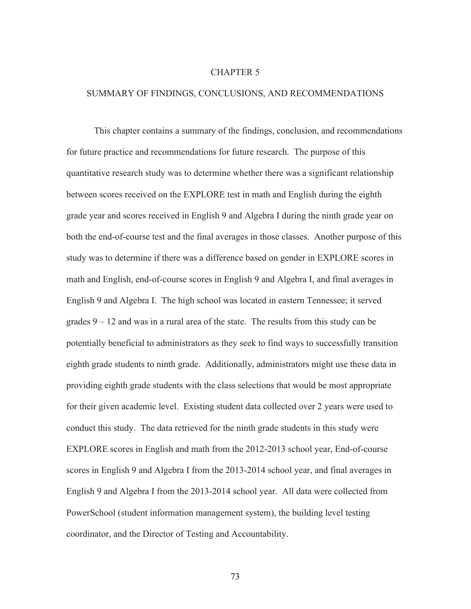### CHAPTER 5

### SUMMARY OF FINDINGS, CONCLUSIONS, AND RECOMMENDATIONS

This chapter contains a summary of the findings, conclusion, and recommendations for future practice and recommendations for future research. The purpose of this quantitative research study was to determine whether there was a significant relationship between scores received on the EXPLORE test in math and English during the eighth grade year and scores received in English 9 and Algebra I during the ninth grade year on both the end-of-course test and the final averages in those classes. Another purpose of this study was to determine if there was a difference based on gender in EXPLORE scores in math and English, end-of-course scores in English 9 and Algebra I, and final averages in English 9 and Algebra I. The high school was located in eastern Tennessee; it served grades  $9 - 12$  and was in a rural area of the state. The results from this study can be potentially beneficial to administrators as they seek to find ways to successfully transition eighth grade students to ninth grade. Additionally, administrators might use these data in providing eighth grade students with the class selections that would be most appropriate for their given academic level. Existing student data collected over 2 years were used to conduct this study. The data retrieved for the ninth grade students in this study were EXPLORE scores in English and math from the 2012-2013 school year, End-of-course scores in English 9 and Algebra I from the 2013-2014 school year, and final averages in English 9 and Algebra I from the 2013-2014 school year. All data were collected from PowerSchool (student information management system), the building level testing coordinator, and the Director of Testing and Accountability.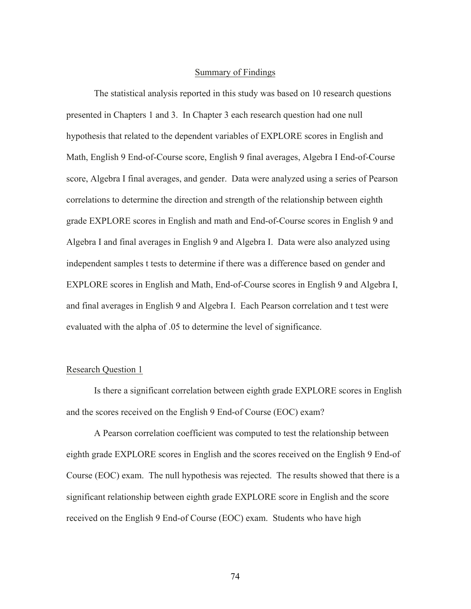### Summary of Findings

The statistical analysis reported in this study was based on 10 research questions presented in Chapters 1 and 3. In Chapter 3 each research question had one null hypothesis that related to the dependent variables of EXPLORE scores in English and Math, English 9 End-of-Course score, English 9 final averages, Algebra I End-of-Course score, Algebra I final averages, and gender. Data were analyzed using a series of Pearson correlations to determine the direction and strength of the relationship between eighth grade EXPLORE scores in English and math and End-of-Course scores in English 9 and Algebra I and final averages in English 9 and Algebra I. Data were also analyzed using independent samples t tests to determine if there was a difference based on gender and EXPLORE scores in English and Math, End-of-Course scores in English 9 and Algebra I, and final averages in English 9 and Algebra I. Each Pearson correlation and t test were evaluated with the alpha of .05 to determine the level of significance.

### Research Question 1

Is there a significant correlation between eighth grade EXPLORE scores in English and the scores received on the English 9 End-of Course (EOC) exam?

A Pearson correlation coefficient was computed to test the relationship between eighth grade EXPLORE scores in English and the scores received on the English 9 End-of Course (EOC) exam. The null hypothesis was rejected. The results showed that there is a significant relationship between eighth grade EXPLORE score in English and the score received on the English 9 End-of Course (EOC) exam. Students who have high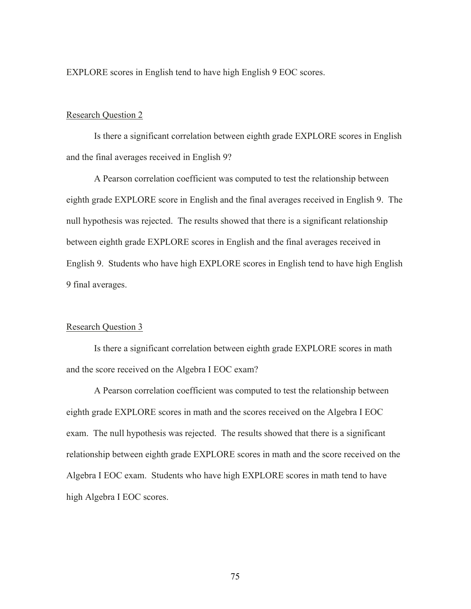EXPLORE scores in English tend to have high English 9 EOC scores.

### Research Question 2

Is there a significant correlation between eighth grade EXPLORE scores in English and the final averages received in English 9?

A Pearson correlation coefficient was computed to test the relationship between eighth grade EXPLORE score in English and the final averages received in English 9. The null hypothesis was rejected. The results showed that there is a significant relationship between eighth grade EXPLORE scores in English and the final averages received in English 9. Students who have high EXPLORE scores in English tend to have high English 9 final averages.

### Research Question 3

Is there a significant correlation between eighth grade EXPLORE scores in math and the score received on the Algebra I EOC exam?

A Pearson correlation coefficient was computed to test the relationship between eighth grade EXPLORE scores in math and the scores received on the Algebra I EOC exam. The null hypothesis was rejected. The results showed that there is a significant relationship between eighth grade EXPLORE scores in math and the score received on the Algebra I EOC exam. Students who have high EXPLORE scores in math tend to have high Algebra I EOC scores.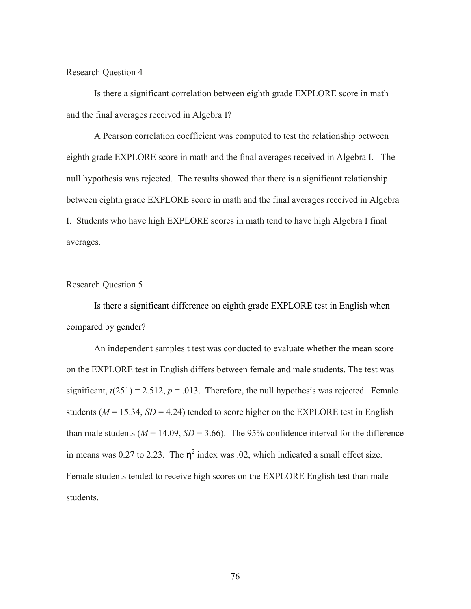Is there a significant correlation between eighth grade EXPLORE score in math and the final averages received in Algebra I?

A Pearson correlation coefficient was computed to test the relationship between eighth grade EXPLORE score in math and the final averages received in Algebra I. The null hypothesis was rejected. The results showed that there is a significant relationship between eighth grade EXPLORE score in math and the final averages received in Algebra I. Students who have high EXPLORE scores in math tend to have high Algebra I final averages.

### Research Question 5

Is there a significant difference on eighth grade EXPLORE test in English when compared by gender?

An independent samples t test was conducted to evaluate whether the mean score on the EXPLORE test in English differs between female and male students. The test was significant,  $t(251) = 2.512$ ,  $p = .013$ . Therefore, the null hypothesis was rejected. Female students ( $M = 15.34$ ,  $SD = 4.24$ ) tended to score higher on the EXPLORE test in English than male students ( $M = 14.09$ ,  $SD = 3.66$ ). The 95% confidence interval for the difference in means was 0.27 to 2.23. The  $\eta^2$  index was .02, which indicated a small effect size. Female students tended to receive high scores on the EXPLORE English test than male students.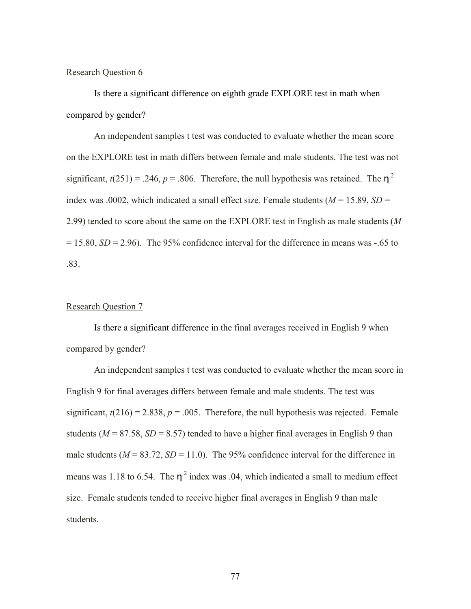Is there a significant difference on eighth grade EXPLORE test in math when compared by gender?

An independent samples t test was conducted to evaluate whether the mean score on the EXPLORE test in math differs between female and male students. The test was not significant,  $t(251) = .246$ ,  $p = .806$ . Therefore, the null hypothesis was retained. The  $n^2$ index was .0002, which indicated a small effect size. Female students  $(M = 15.89, SD =$ 2.99) tended to score about the same on the EXPLORE test in English as male students (*M*  $= 15.80$ ,  $SD = 2.96$ ). The 95% confidence interval for the difference in means was  $-.65$  to .83.

### Research Question 7

Is there a significant difference in the final averages received in English 9 when compared by gender?

An independent samples t test was conducted to evaluate whether the mean score in English 9 for final averages differs between female and male students. The test was significant,  $t(216) = 2.838$ ,  $p = .005$ . Therefore, the null hypothesis was rejected. Female students ( $M = 87.58$ ,  $SD = 8.57$ ) tended to have a higher final averages in English 9 than male students  $(M = 83.72, SD = 11.0)$ . The 95% confidence interval for the difference in means was 1.18 to 6.54. The  $\eta^2$  index was .04, which indicated a small to medium effect size. Female students tended to receive higher final averages in English 9 than male students.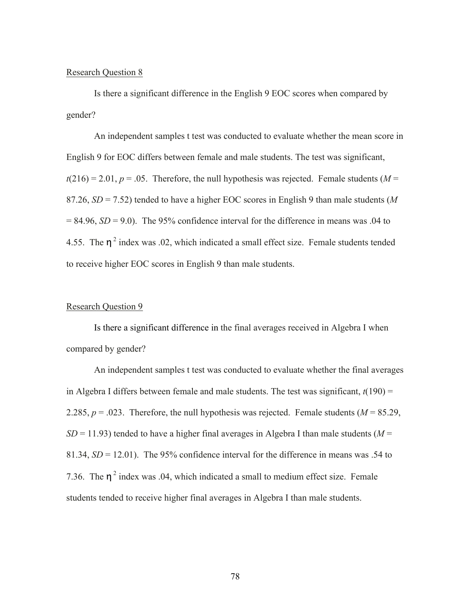Is there a significant difference in the English 9 EOC scores when compared by gender?

An independent samples t test was conducted to evaluate whether the mean score in English 9 for EOC differs between female and male students. The test was significant,  $t(216) = 2.01$ ,  $p = .05$ . Therefore, the null hypothesis was rejected. Female students (*M* = 87.26, *SD* = 7.52) tended to have a higher EOC scores in English 9 than male students (*M*  $= 84.96$ ,  $SD = 9.0$ ). The 95% confidence interval for the difference in means was .04 to 4.55. The  $\eta^2$  index was .02, which indicated a small effect size. Female students tended to receive higher EOC scores in English 9 than male students.

### Research Question 9

Is there a significant difference in the final averages received in Algebra I when compared by gender?

An independent samples t test was conducted to evaluate whether the final averages in Algebra I differs between female and male students. The test was significant,  $t(190)$  = 2.285,  $p = 0.023$ . Therefore, the null hypothesis was rejected. Female students ( $M = 85.29$ ,  $SD = 11.93$ ) tended to have a higher final averages in Algebra I than male students ( $M =$ 81.34, *SD* = 12.01). The 95% confidence interval for the difference in means was .54 to 7.36. The  $n^2$  index was .04, which indicated a small to medium effect size. Female students tended to receive higher final averages in Algebra I than male students.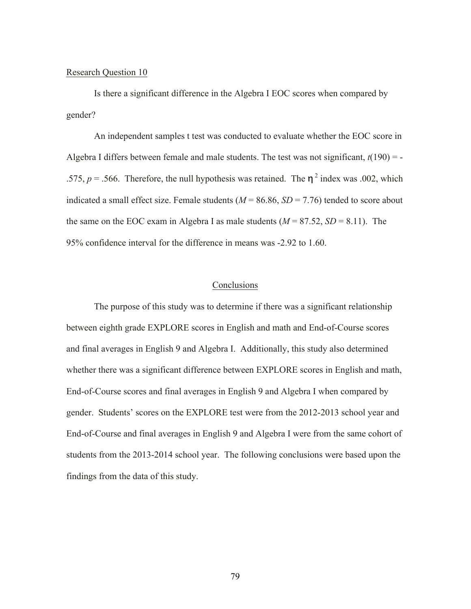Is there a significant difference in the Algebra I EOC scores when compared by gender?

An independent samples t test was conducted to evaluate whether the EOC score in Algebra I differs between female and male students. The test was not significant,  $t(190) = -$ .575,  $p = .566$ . Therefore, the null hypothesis was retained. The  $\eta^2$  index was .002, which indicated a small effect size. Female students  $(M = 86.86, SD = 7.76)$  tended to score about the same on the EOC exam in Algebra I as male students  $(M = 87.52, SD = 8.11)$ . The 95% confidence interval for the difference in means was -2.92 to 1.60.

### **Conclusions**

The purpose of this study was to determine if there was a significant relationship between eighth grade EXPLORE scores in English and math and End-of-Course scores and final averages in English 9 and Algebra I. Additionally, this study also determined whether there was a significant difference between EXPLORE scores in English and math, End-of-Course scores and final averages in English 9 and Algebra I when compared by gender. Students' scores on the EXPLORE test were from the 2012-2013 school year and End-of-Course and final averages in English 9 and Algebra I were from the same cohort of students from the 2013-2014 school year. The following conclusions were based upon the findings from the data of this study.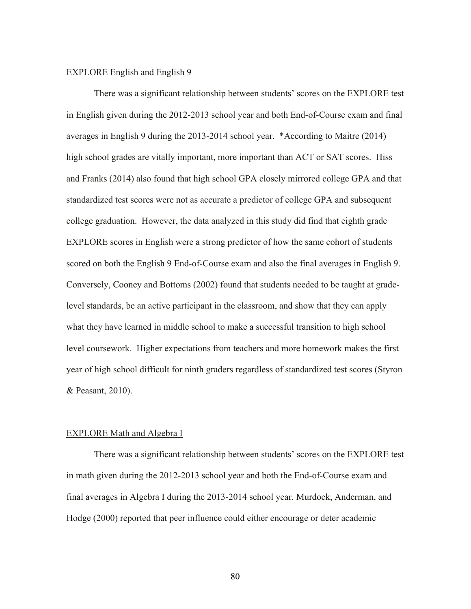### EXPLORE English and English 9

There was a significant relationship between students' scores on the EXPLORE test in English given during the 2012-2013 school year and both End-of-Course exam and final averages in English 9 during the 2013-2014 school year. \*According to Maitre (2014) high school grades are vitally important, more important than ACT or SAT scores. Hiss and Franks (2014) also found that high school GPA closely mirrored college GPA and that standardized test scores were not as accurate a predictor of college GPA and subsequent college graduation. However, the data analyzed in this study did find that eighth grade EXPLORE scores in English were a strong predictor of how the same cohort of students scored on both the English 9 End-of-Course exam and also the final averages in English 9. Conversely, Cooney and Bottoms (2002) found that students needed to be taught at gradelevel standards, be an active participant in the classroom, and show that they can apply what they have learned in middle school to make a successful transition to high school level coursework. Higher expectations from teachers and more homework makes the first year of high school difficult for ninth graders regardless of standardized test scores (Styron & Peasant, 2010).

### EXPLORE Math and Algebra I

There was a significant relationship between students' scores on the EXPLORE test in math given during the 2012-2013 school year and both the End-of-Course exam and final averages in Algebra I during the 2013-2014 school year. Murdock, Anderman, and Hodge (2000) reported that peer influence could either encourage or deter academic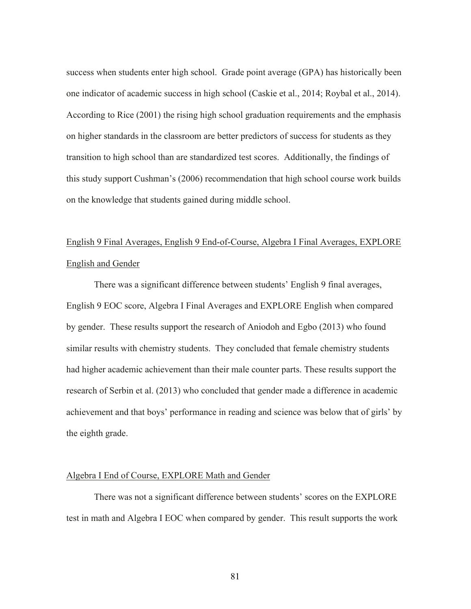success when students enter high school. Grade point average (GPA) has historically been one indicator of academic success in high school (Caskie et al., 2014; Roybal et al., 2014). According to Rice (2001) the rising high school graduation requirements and the emphasis on higher standards in the classroom are better predictors of success for students as they transition to high school than are standardized test scores. Additionally, the findings of this study support Cushman's (2006) recommendation that high school course work builds on the knowledge that students gained during middle school.

# English 9 Final Averages, English 9 End-of-Course, Algebra I Final Averages, EXPLORE English and Gender

There was a significant difference between students' English 9 final averages, English 9 EOC score, Algebra I Final Averages and EXPLORE English when compared by gender. These results support the research of Aniodoh and Egbo (2013) who found similar results with chemistry students. They concluded that female chemistry students had higher academic achievement than their male counter parts. These results support the research of Serbin et al. (2013) who concluded that gender made a difference in academic achievement and that boys' performance in reading and science was below that of girls' by the eighth grade.

### Algebra I End of Course, EXPLORE Math and Gender

There was not a significant difference between students' scores on the EXPLORE test in math and Algebra I EOC when compared by gender. This result supports the work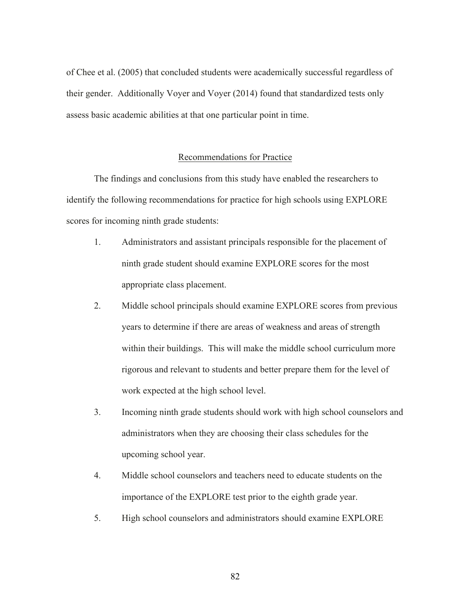of Chee et al. (2005) that concluded students were academically successful regardless of their gender. Additionally Voyer and Voyer (2014) found that standardized tests only assess basic academic abilities at that one particular point in time.

### Recommendations for Practice

The findings and conclusions from this study have enabled the researchers to identify the following recommendations for practice for high schools using EXPLORE scores for incoming ninth grade students:

- 1. Administrators and assistant principals responsible for the placement of ninth grade student should examine EXPLORE scores for the most appropriate class placement.
- 2. Middle school principals should examine EXPLORE scores from previous years to determine if there are areas of weakness and areas of strength within their buildings. This will make the middle school curriculum more rigorous and relevant to students and better prepare them for the level of work expected at the high school level.
- 3. Incoming ninth grade students should work with high school counselors and administrators when they are choosing their class schedules for the upcoming school year.
- 4. Middle school counselors and teachers need to educate students on the importance of the EXPLORE test prior to the eighth grade year.
- 5. High school counselors and administrators should examine EXPLORE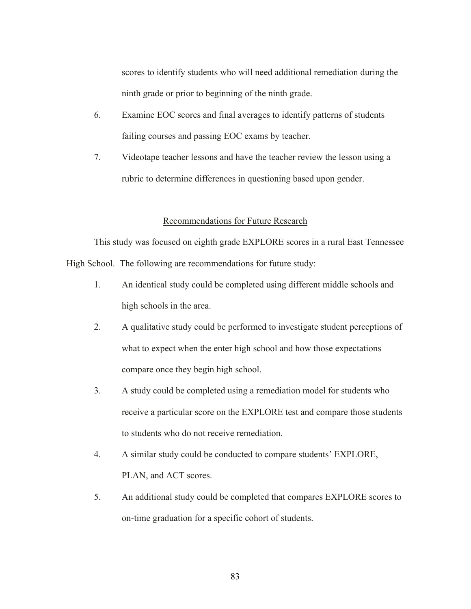scores to identify students who will need additional remediation during the ninth grade or prior to beginning of the ninth grade.

- 6. Examine EOC scores and final averages to identify patterns of students failing courses and passing EOC exams by teacher.
- 7. Videotape teacher lessons and have the teacher review the lesson using a rubric to determine differences in questioning based upon gender.

### Recommendations for Future Research

This study was focused on eighth grade EXPLORE scores in a rural East Tennessee High School. The following are recommendations for future study:

- 1. An identical study could be completed using different middle schools and high schools in the area.
- 2. A qualitative study could be performed to investigate student perceptions of what to expect when the enter high school and how those expectations compare once they begin high school.
- 3. A study could be completed using a remediation model for students who receive a particular score on the EXPLORE test and compare those students to students who do not receive remediation.
- 4. A similar study could be conducted to compare students' EXPLORE, PLAN, and ACT scores.
- 5. An additional study could be completed that compares EXPLORE scores to on-time graduation for a specific cohort of students.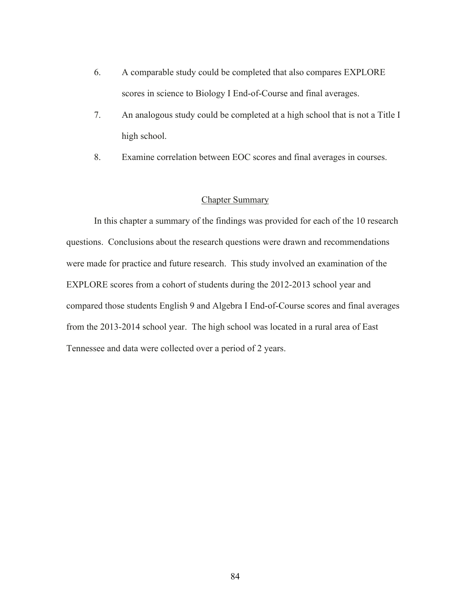- 6. A comparable study could be completed that also compares EXPLORE scores in science to Biology I End-of-Course and final averages.
- 7. An analogous study could be completed at a high school that is not a Title I high school.
- 8. Examine correlation between EOC scores and final averages in courses.

### Chapter Summary

In this chapter a summary of the findings was provided for each of the 10 research questions. Conclusions about the research questions were drawn and recommendations were made for practice and future research. This study involved an examination of the EXPLORE scores from a cohort of students during the 2012-2013 school year and compared those students English 9 and Algebra I End-of-Course scores and final averages from the 2013-2014 school year. The high school was located in a rural area of East Tennessee and data were collected over a period of 2 years.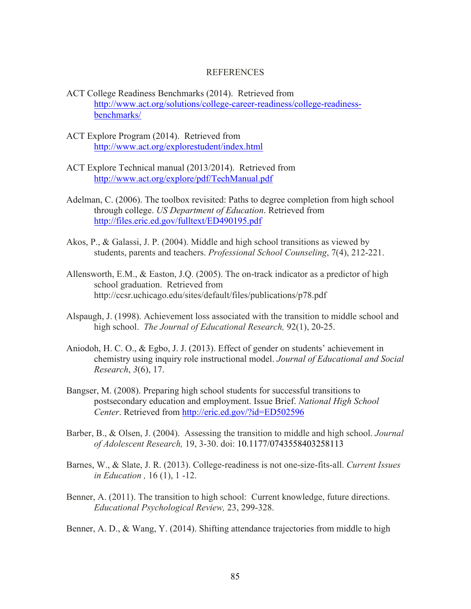### REFERENCES

- ACT College Readiness Benchmarks (2014). Retrieved from http://www.act.org/solutions/college-career-readiness/college-readinessbenchmarks/
- ACT Explore Program (2014). Retrieved from http://www.act.org/explorestudent/index.html
- ACT Explore Technical manual (2013/2014). Retrieved from http://www.act.org/explore/pdf/TechManual.pdf
- Adelman, C. (2006). The toolbox revisited: Paths to degree completion from high school through college. *US Department of Education*. Retrieved from http://files.eric.ed.gov/fulltext/ED490195.pdf
- Akos, P., & Galassi, J. P. (2004). Middle and high school transitions as viewed by students, parents and teachers. *Professional School Counseling*, 7(4), 212-221.
- Allensworth, E.M., & Easton, J.Q. (2005). The on-track indicator as a predictor of high school graduation. Retrieved from http://ccsr.uchicago.edu/sites/default/files/publications/p78.pdf
- Alspaugh, J. (1998). Achievement loss associated with the transition to middle school and high school. *The Journal of Educational Research,* 92(1), 20-25.
- Aniodoh, H. C. O., & Egbo, J. J. (2013). Effect of gender on students' achievement in chemistry using inquiry role instructional model. *Journal of Educational and Social Research*, *3*(6), 17.
- Bangser, M. (2008). Preparing high school students for successful transitions to postsecondary education and employment. Issue Brief. *National High School Center*. Retrieved from http://eric.ed.gov/?id=ED502596
- Barber, B., & Olsen, J. (2004). Assessing the transition to middle and high school. *Journal of Adolescent Research,* 19, 3-30. doi: 10.1177/0743558403258113
- Barnes, W., & Slate, J. R. (2013). College-readiness is not one-size-fits-all. *Current Issues in Education ,* 16 (1), 1 -12.
- Benner, A. (2011). The transition to high school: Current knowledge, future directions. *Educational Psychological Review,* 23, 299-328.

Benner, A. D., & Wang, Y. (2014). Shifting attendance trajectories from middle to high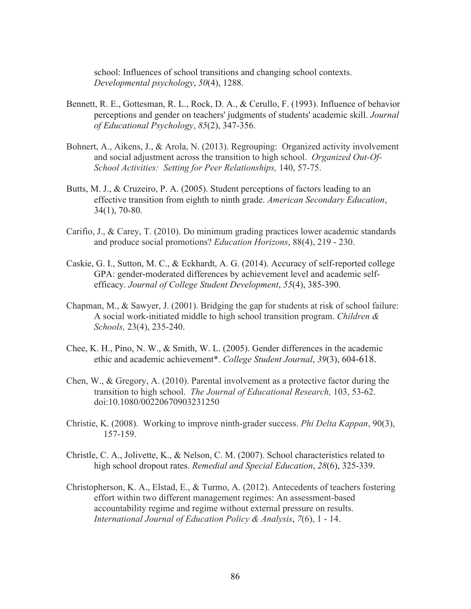school: Influences of school transitions and changing school contexts. *Developmental psychology*, *50*(4), 1288.

- Bennett, R. E., Gottesman, R. L., Rock, D. A., & Cerullo, F. (1993). Influence of behavior perceptions and gender on teachers' judgments of students' academic skill. *Journal of Educational Psychology*, *85*(2), 347-356.
- Bohnert, A., Aikens, J., & Arola, N. (2013). Regrouping: Organized activity involvement and social adjustment across the transition to high school. *Organized Out-Of-School Activities: Setting for Peer Relationships,* 140, 57-75.
- Butts, M. J., & Cruzeiro, P. A. (2005). Student perceptions of factors leading to an effective transition from eighth to ninth grade. *American Secondary Education*, 34(1), 70-80.
- Carifio, J., & Carey, T. (2010). Do minimum grading practices lower academic standards and produce social promotions? *Education Horizons*, 88(4), 219 - 230.
- Caskie, G. I., Sutton, M. C., & Eckhardt, A. G. (2014). Accuracy of self-reported college GPA: gender-moderated differences by achievement level and academic selfefficacy. *Journal of College Student Development*, *55*(4), 385-390.
- Chapman, M., & Sawyer, J. (2001). Bridging the gap for students at risk of school failure: A social work-initiated middle to high school transition program. *Children & Schools,* 23(4), 235-240.
- Chee, K. H., Pino, N. W., & Smith, W. L. (2005). Gender differences in the academic ethic and academic achievement\*. *College Student Journal*, *39*(3), 604-618.
- Chen, W., & Gregory, A. (2010). Parental involvement as a protective factor during the transition to high school. *The Journal of Educational Research,* 103, 53-62. doi:10.1080/00220670903231250
- Christie, K. (2008). Working to improve ninth-grader success. *Phi Delta Kappan*, 90(3), 157-159.
- Christle, C. A., Jolivette, K., & Nelson, C. M. (2007). School characteristics related to high school dropout rates. *Remedial and Special Education*, *28*(6), 325-339.
- Christopherson, K. A., Elstad, E., & Turmo, A. (2012). Antecedents of teachers fostering effort within two different management regimes: An assessment-based accountability regime and regime without external pressure on results. *International Journal of Education Policy & Analysis*, *7*(6), 1 - 14.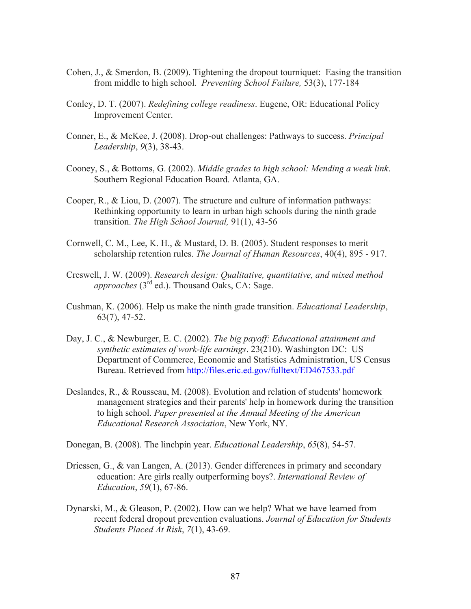- Cohen, J., & Smerdon, B. (2009). Tightening the dropout tourniquet: Easing the transition from middle to high school. *Preventing School Failure,* 53(3), 177-184
- Conley, D. T. (2007). *Redefining college readiness*. Eugene, OR: Educational Policy Improvement Center.
- Conner, E., & McKee, J. (2008). Drop-out challenges: Pathways to success. *Principal Leadership*, *9*(3), 38-43.
- Cooney, S., & Bottoms, G. (2002). *Middle grades to high school: Mending a weak link*. Southern Regional Education Board. Atlanta, GA.
- Cooper, R., & Liou, D. (2007). The structure and culture of information pathways: Rethinking opportunity to learn in urban high schools during the ninth grade transition. *The High School Journal,* 91(1), 43-56
- Cornwell, C. M., Lee, K. H., & Mustard, D. B. (2005). Student responses to merit scholarship retention rules. *The Journal of Human Resources*, 40(4), 895 - 917.
- Creswell, J. W. (2009). *Research design: Qualitative, quantitative, and mixed method approaches* (3rd ed.). Thousand Oaks, CA: Sage.
- Cushman, K. (2006). Help us make the ninth grade transition. *Educational Leadership*, 63(7), 47-52.
- Day, J. C., & Newburger, E. C. (2002). *The big payoff: Educational attainment and synthetic estimates of work-life earnings*. 23(210). Washington DC: US Department of Commerce, Economic and Statistics Administration, US Census Bureau. Retrieved from http://files.eric.ed.gov/fulltext/ED467533.pdf
- Deslandes, R., & Rousseau, M. (2008). Evolution and relation of students' homework management strategies and their parents' help in homework during the transition to high school. *Paper presented at the Annual Meeting of the American Educational Research Association*, New York, NY.

Donegan, B. (2008). The linchpin year. *Educational Leadership*, *65*(8), 54-57.

- Driessen, G., & van Langen, A. (2013). Gender differences in primary and secondary education: Are girls really outperforming boys?. *International Review of Education*, *59*(1), 67-86.
- Dynarski, M., & Gleason, P. (2002). How can we help? What we have learned from recent federal dropout prevention evaluations. *Journal of Education for Students Students Placed At Risk*, *7*(1), 43-69.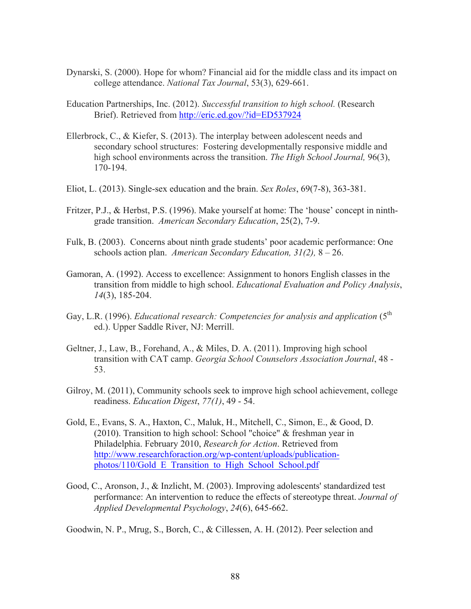- Dynarski, S. (2000). Hope for whom? Financial aid for the middle class and its impact on college attendance. *National Tax Journal*, 53(3), 629-661.
- Education Partnerships, Inc. (2012). *Successful transition to high school.* (Research Brief). Retrieved from http://eric.ed.gov/?id=ED537924
- Ellerbrock, C., & Kiefer, S. (2013). The interplay between adolescent needs and secondary school structures: Fostering developmentally responsive middle and high school environments across the transition. *The High School Journal,* 96(3), 170-194.
- Eliot, L. (2013). Single-sex education and the brain. *Sex Roles*, 69(7-8), 363-381.
- Fritzer, P.J., & Herbst, P.S. (1996). Make yourself at home: The 'house' concept in ninthgrade transition. *American Secondary Education*, 25(2), 7-9.
- Fulk, B. (2003). Concerns about ninth grade students' poor academic performance: One schools action plan. *American Secondary Education, 31(2),* 8 – 26.
- Gamoran, A. (1992). Access to excellence: Assignment to honors English classes in the transition from middle to high school. *Educational Evaluation and Policy Analysis*, *14*(3), 185-204.
- Gay, L.R. (1996). *Educational research: Competencies for analysis and application* (5<sup>th</sup> ed.). Upper Saddle River, NJ: Merrill.
- Geltner, J., Law, B., Forehand, A., & Miles, D. A. (2011). Improving high school transition with CAT camp. *Georgia School Counselors Association Journal*, 48 - 53.
- Gilroy, M. (2011), Community schools seek to improve high school achievement, college readiness. *Education Digest*, *77(1)*, 49 - 54.
- Gold, E., Evans, S. A., Haxton, C., Maluk, H., Mitchell, C., Simon, E., & Good, D. (2010). Transition to high school: School "choice" & freshman year in Philadelphia. February 2010, *Research for Action*. Retrieved from http://www.researchforaction.org/wp-content/uploads/publicationphotos/110/Gold E Transition to High School School.pdf
- Good, C., Aronson, J., & Inzlicht, M. (2003). Improving adolescents' standardized test performance: An intervention to reduce the effects of stereotype threat. *Journal of Applied Developmental Psychology*, *24*(6), 645-662.

Goodwin, N. P., Mrug, S., Borch, C., & Cillessen, A. H. (2012). Peer selection and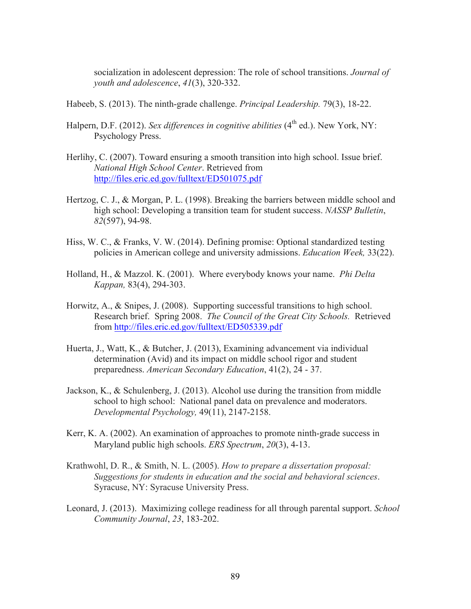socialization in adolescent depression: The role of school transitions. *Journal of youth and adolescence*, *41*(3), 320-332.

- Habeeb, S. (2013). The ninth-grade challenge. *Principal Leadership.* 79(3), 18-22.
- Halpern, D.F. (2012). *Sex differences in cognitive abilities* (4<sup>th</sup> ed.). New York, NY: Psychology Press.
- Herlihy, C. (2007). Toward ensuring a smooth transition into high school. Issue brief. *National High School Center*. Retrieved from http://files.eric.ed.gov/fulltext/ED501075.pdf
- Hertzog, C. J., & Morgan, P. L. (1998). Breaking the barriers between middle school and high school: Developing a transition team for student success. *NASSP Bulletin*, *82*(597), 94-98.
- Hiss, W. C., & Franks, V. W. (2014). Defining promise: Optional standardized testing policies in American college and university admissions. *Education Week,* 33(22).
- Holland, H., & Mazzol. K. (2001). Where everybody knows your name. *Phi Delta Kappan,* 83(4), 294-303.
- Horwitz, A., & Snipes, J. (2008). Supporting successful transitions to high school. Research brief. Spring 2008. *The Council of the Great City Schools.* Retrieved from http://files.eric.ed.gov/fulltext/ED505339.pdf
- Huerta, J., Watt, K., & Butcher, J. (2013), Examining advancement via individual determination (Avid) and its impact on middle school rigor and student preparedness. *American Secondary Education*, 41(2), 24 - 37.
- Jackson, K., & Schulenberg, J. (2013). Alcohol use during the transition from middle school to high school: National panel data on prevalence and moderators. *Developmental Psychology,* 49(11), 2147-2158.
- Kerr, K. A. (2002). An examination of approaches to promote ninth-grade success in Maryland public high schools. *ERS Spectrum*, *20*(3), 4-13.
- Krathwohl, D. R., & Smith, N. L. (2005). *How to prepare a dissertation proposal: Suggestions for students in education and the social and behavioral sciences*. Syracuse, NY: Syracuse University Press.
- Leonard, J. (2013). Maximizing college readiness for all through parental support. *School Community Journal*, *23*, 183-202.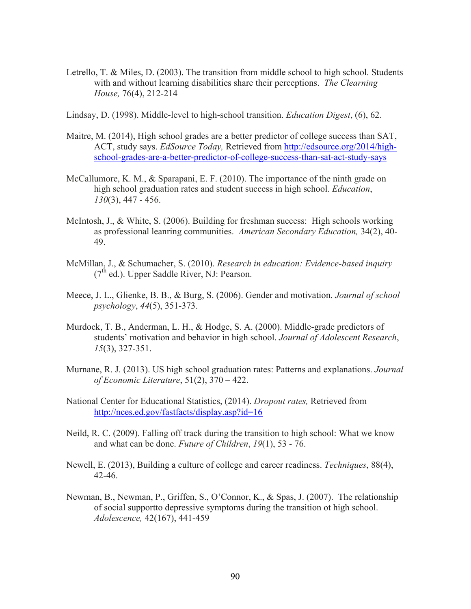- Letrello, T. & Miles, D. (2003). The transition from middle school to high school. Students with and without learning disabilities share their perceptions. *The Clearning House,* 76(4), 212-214
- Lindsay, D. (1998). Middle-level to high-school transition. *Education Digest*, (6), 62.
- Maitre, M. (2014), High school grades are a better predictor of college success than SAT, ACT, study says. *EdSource Today,* Retrieved from http://edsource.org/2014/highschool-grades-are-a-better-predictor-of-college-success-than-sat-act-study-says
- McCallumore, K. M., & Sparapani, E. F. (2010). The importance of the ninth grade on high school graduation rates and student success in high school. *Education*, *130*(3), 447 - 456.
- McIntosh, J., & White, S. (2006). Building for freshman success: High schools working as professional leanring communities. *American Secondary Education,* 34(2), 40- 49.
- McMillan, J., & Schumacher, S. (2010). *Research in education: Evidence-based inquiry*  $(7<sup>th</sup>$  ed.). Upper Saddle River, NJ: Pearson.
- Meece, J. L., Glienke, B. B., & Burg, S. (2006). Gender and motivation. *Journal of school psychology*, *44*(5), 351-373.
- Murdock, T. B., Anderman, L. H., & Hodge, S. A. (2000). Middle-grade predictors of students' motivation and behavior in high school. *Journal of Adolescent Research*, *15*(3), 327-351.
- Murnane, R. J. (2013). US high school graduation rates: Patterns and explanations. *Journal of Economic Literature*, 51(2), 370 – 422.
- National Center for Educational Statistics, (2014). *Dropout rates,* Retrieved from http://nces.ed.gov/fastfacts/display.asp?id=16
- Neild, R. C. (2009). Falling off track during the transition to high school: What we know and what can be done. *Future of Children*, *19*(1), 53 - 76.
- Newell, E. (2013), Building a culture of college and career readiness. *Techniques*, 88(4), 42-46.
- Newman, B., Newman, P., Griffen, S., O'Connor, K., & Spas, J. (2007). The relationship of social supportto depressive symptoms during the transition ot high school. *Adolescence,* 42(167), 441-459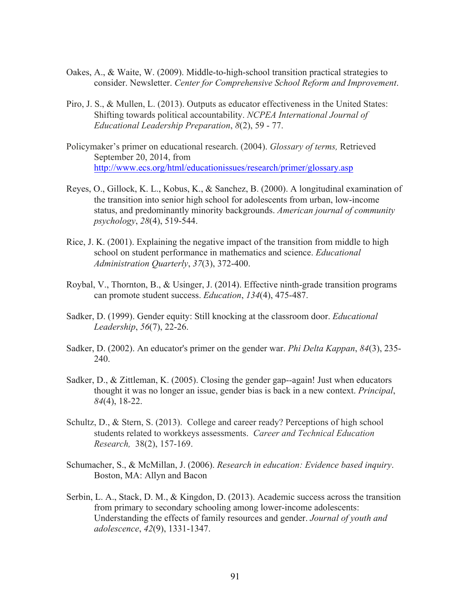- Oakes, A., & Waite, W. (2009). Middle-to-high-school transition practical strategies to consider. Newsletter. *Center for Comprehensive School Reform and Improvement*.
- Piro, J. S., & Mullen, L. (2013). Outputs as educator effectiveness in the United States: Shifting towards political accountability. *NCPEA International Journal of Educational Leadership Preparation*, *8*(2), 59 - 77.
- Policymaker's primer on educational research. (2004). *Glossary of terms,* Retrieved September 20, 2014, from http://www.ecs.org/html/educationissues/research/primer/glossary.asp
- Reyes, O., Gillock, K. L., Kobus, K., & Sanchez, B. (2000). A longitudinal examination of the transition into senior high school for adolescents from urban, low-income status, and predominantly minority backgrounds. *American journal of community psychology*, *28*(4), 519-544.
- Rice, J. K. (2001). Explaining the negative impact of the transition from middle to high school on student performance in mathematics and science. *Educational Administration Quarterly*, *37*(3), 372-400.
- Roybal, V., Thornton, B., & Usinger, J. (2014). Effective ninth-grade transition programs can promote student success. *Education*, *134*(4), 475-487.
- Sadker, D. (1999). Gender equity: Still knocking at the classroom door. *Educational Leadership*, *56*(7), 22-26.
- Sadker, D. (2002). An educator's primer on the gender war. *Phi Delta Kappan*, *84*(3), 235- 240.
- Sadker, D., & Zittleman, K. (2005). Closing the gender gap--again! Just when educators thought it was no longer an issue, gender bias is back in a new context. *Principal*, *84*(4), 18-22.
- Schultz, D., & Stern, S. (2013). College and career ready? Perceptions of high school students related to workkeys assessments. *Career and Technical Education Research,* 38(2), 157-169.
- Schumacher, S., & McMillan, J. (2006). *Research in education: Evidence based inquiry*. Boston, MA: Allyn and Bacon
- Serbin, L. A., Stack, D. M., & Kingdon, D. (2013). Academic success across the transition from primary to secondary schooling among lower-income adolescents: Understanding the effects of family resources and gender. *Journal of youth and adolescence*, *42*(9), 1331-1347.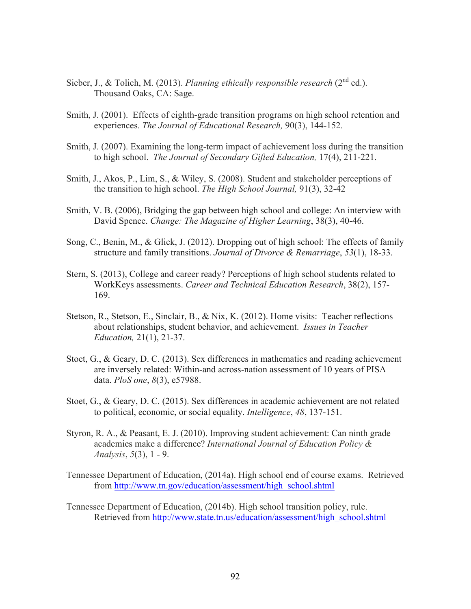- Sieber, J., & Tolich, M. (2013). *Planning ethically responsible research* (2<sup>nd</sup> ed.). Thousand Oaks, CA: Sage.
- Smith, J. (2001). Effects of eighth-grade transition programs on high school retention and experiences. *The Journal of Educational Research,* 90(3), 144-152.
- Smith, J. (2007). Examining the long-term impact of achievement loss during the transition to high school. *The Journal of Secondary Gifted Education,* 17(4), 211-221.
- Smith, J., Akos, P., Lim, S., & Wiley, S. (2008). Student and stakeholder perceptions of the transition to high school. *The High School Journal,* 91(3), 32-42
- Smith, V. B. (2006), Bridging the gap between high school and college: An interview with David Spence. *Change: The Magazine of Higher Learning*, 38(3), 40-46.
- Song, C., Benin, M., & Glick, J. (2012). Dropping out of high school: The effects of family structure and family transitions. *Journal of Divorce & Remarriage*, *53*(1), 18-33.
- Stern, S. (2013), College and career ready? Perceptions of high school students related to WorkKeys assessments. *Career and Technical Education Research*, 38(2), 157- 169.
- Stetson, R., Stetson, E., Sinclair, B., & Nix, K. (2012). Home visits: Teacher reflections about relationships, student behavior, and achievement. *Issues in Teacher Education,* 21(1), 21-37.
- Stoet, G., & Geary, D. C. (2013). Sex differences in mathematics and reading achievement are inversely related: Within-and across-nation assessment of 10 years of PISA data. *PloS one*, *8*(3), e57988.
- Stoet, G., & Geary, D. C. (2015). Sex differences in academic achievement are not related to political, economic, or social equality. *Intelligence*, *48*, 137-151.
- Styron, R. A., & Peasant, E. J. (2010). Improving student achievement: Can ninth grade academies make a difference? *International Journal of Education Policy & Analysis*, *5*(3), 1 - 9.
- Tennessee Department of Education, (2014a). High school end of course exams. Retrieved from http://www.tn.gov/education/assessment/high\_school.shtml
- Tennessee Department of Education, (2014b). High school transition policy, rule. Retrieved from http://www.state.tn.us/education/assessment/high\_school.shtml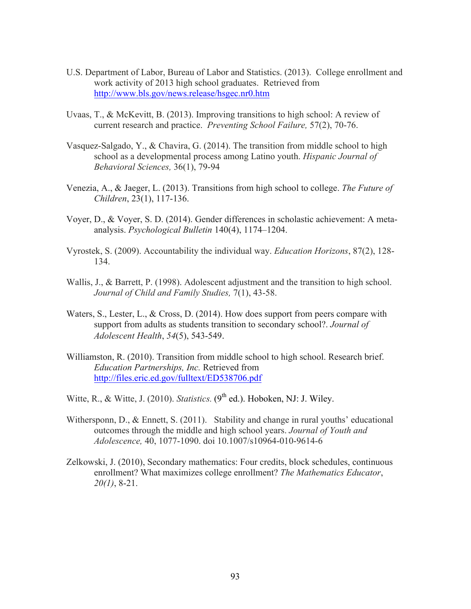- U.S. Department of Labor, Bureau of Labor and Statistics. (2013). College enrollment and work activity of 2013 high school graduates. Retrieved from http://www.bls.gov/news.release/hsgec.nr0.htm
- Uvaas, T., & McKevitt, B. (2013). Improving transitions to high school: A review of current research and practice. *Preventing School Failure,* 57(2), 70-76.
- Vasquez-Salgado, Y., & Chavira, G.  $(2014)$ . The transition from middle school to high school as a developmental process among Latino youth. *Hispanic Journal of Behavioral Sciences,* 36(1), 79-94
- Venezia, A., & Jaeger, L. (2013). Transitions from high school to college. *The Future of Children*, 23(1), 117-136.
- Voyer, D., & Voyer, S. D. (2014). Gender differences in scholastic achievement: A metaanalysis. *Psychological Bulletin* 140(4), 1174–1204.
- Vyrostek, S. (2009). Accountability the individual way. *Education Horizons*, 87(2), 128- 134.
- Wallis, J., & Barrett, P. (1998). Adolescent adjustment and the transition to high school. *Journal of Child and Family Studies,* 7(1), 43-58.
- Waters, S., Lester, L., & Cross, D. (2014). How does support from peers compare with support from adults as students transition to secondary school?. *Journal of Adolescent Health*, *54*(5), 543-549.
- Williamston, R. (2010). Transition from middle school to high school. Research brief. *Education Partnerships, Inc.* Retrieved from http://files.eric.ed.gov/fulltext/ED538706.pdf
- Witte, R., & Witte, J. (2010). *Statistics*.  $(9<sup>th</sup>$  ed.). Hoboken, NJ: J. Wiley.
- Withersponn, D., & Ennett, S. (2011). Stability and change in rural youths' educational outcomes through the middle and high school years. *Journal of Youth and Adolescence,* 40, 1077-1090. doi 10.1007/s10964-010-9614-6
- Zelkowski, J. (2010), Secondary mathematics: Four credits, block schedules, continuous enrollment? What maximizes college enrollment? *The Mathematics Educator*, *20(1)*, 8-21.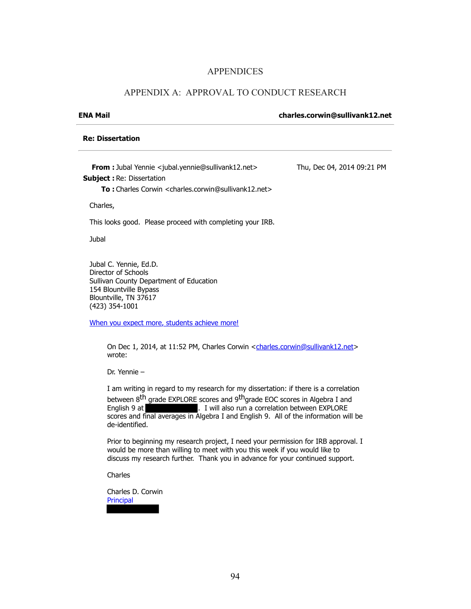### APPENDICES

### APPENDIX A: APPROVAL TO CONDUCT RESEARCH

### **ENA Mail charles.corwin@sullivank12.net**

### **Re: Dissertation**

**From :** Jubal Yennie <jubal.yennie@sullivank12.net> **Subject :** Re: Dissertation **To :** Charles Corwin <charles.corwin@sullivank12.net> Thu, Dec 04, 2014 09:21 PM

Charles,

This looks good. Please proceed with completing your IRB.

Jubal

Jubal C. Yennie, Ed.D. Director of Schools Sullivan County Department of Education 154 Blountville Bypass Blountville, TN 37617 (423) 354-1001

When you expect more, students achieve more!

On Dec 1, 2014, at 11:52 PM, Charles Corwin <charles.corwin@sullivank12.net> wrote:

Dr. Yennie –

I am writing in regard to my research for my dissertation: if there is a correlation between 8<sup>th</sup> grade EXPLORE scores and 9<sup>th</sup>grade EOC scores in Algebra I and English 9 at **Exercise 1 English 9 at ...** I will also run a correlation between EXPLORE scores and final averages in Algebra I and English 9. All of the information will be de-identified.

Prior to beginning my research project, I need your permission for IRB approval. I would be more than willing to meet with you this week if you would like to discuss my research further. Thank you in advance for your continued support.

**Charles** 

Charles D. Corwin **Principal**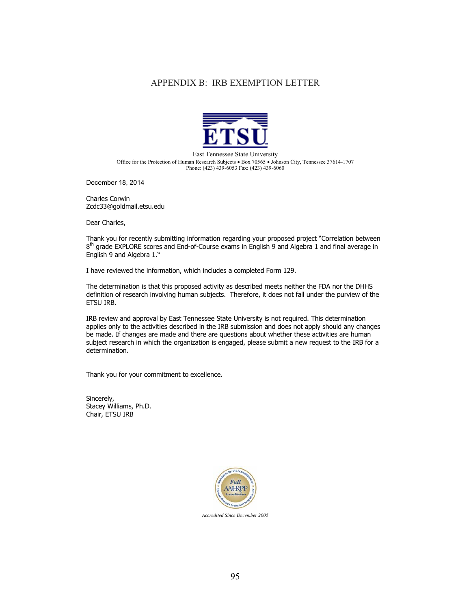### APPENDIX B: IRB EXEMPTION LETTER



East Tennessee State University Office for the Protection of Human Research Subjects · Box 70565 · Johnson City, Tennessee 37614-1707 Phone: (423) 439-6053 Fax: (423) 439-6060

December 18, 2014

Charles Corwin Zcdc33@goldmail.etsu.edu

Dear Charles,

Thank you for recently submitting information regarding your proposed project "Correlation between  $8<sup>th</sup>$  grade EXPLORE scores and End-of-Course exams in English 9 and Algebra 1 and final average in English 9 and Algebra 1."

I have reviewed the information, which includes a completed Form 129.

The determination is that this proposed activity as described meets neither the FDA nor the DHHS definition of research involving human subjects. Therefore, it does not fall under the purview of the ETSU IRB.

IRB review and approval by East Tennessee State University is not required. This determination applies only to the activities described in the IRB submission and does not apply should any changes be made. If changes are made and there are questions about whether these activities are human subject research in which the organization is engaged, please submit a new request to the IRB for a determination.

Thank you for your commitment to excellence.

Sincerely, Stacey Williams, Ph.D. Chair, ETSU IRB



*Accredited Since December 2005*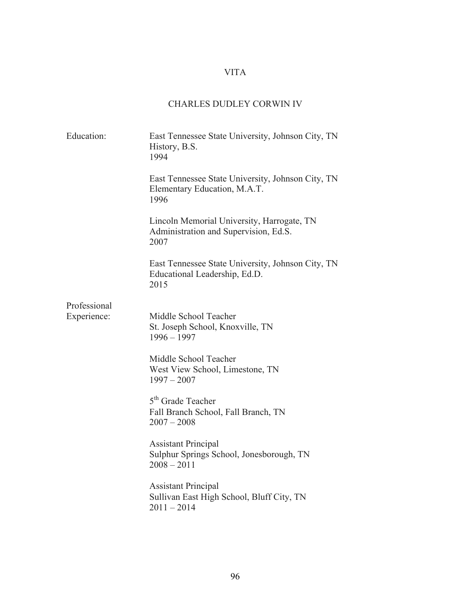# VITA

# CHARLES DUDLEY CORWIN IV

| Education:   | East Tennessee State University, Johnson City, TN<br>History, B.S.<br>1994                  |
|--------------|---------------------------------------------------------------------------------------------|
|              | East Tennessee State University, Johnson City, TN<br>Elementary Education, M.A.T.<br>1996   |
|              | Lincoln Memorial University, Harrogate, TN<br>Administration and Supervision, Ed.S.<br>2007 |
|              | East Tennessee State University, Johnson City, TN<br>Educational Leadership, Ed.D.<br>2015  |
| Professional |                                                                                             |
| Experience:  | Middle School Teacher<br>St. Joseph School, Knoxville, TN<br>$1996 - 1997$                  |
|              | Middle School Teacher<br>West View School, Limestone, TN<br>$1997 - 2007$                   |
|              | 5 <sup>th</sup> Grade Teacher<br>Fall Branch School, Fall Branch, TN<br>$2007 - 2008$       |
|              | <b>Assistant Principal</b><br>Sulphur Springs School, Jonesborough, TN<br>$2008 - 2011$     |
|              | <b>Assistant Principal</b><br>Sullivan East High School, Bluff City, TN<br>$2011 - 2014$    |